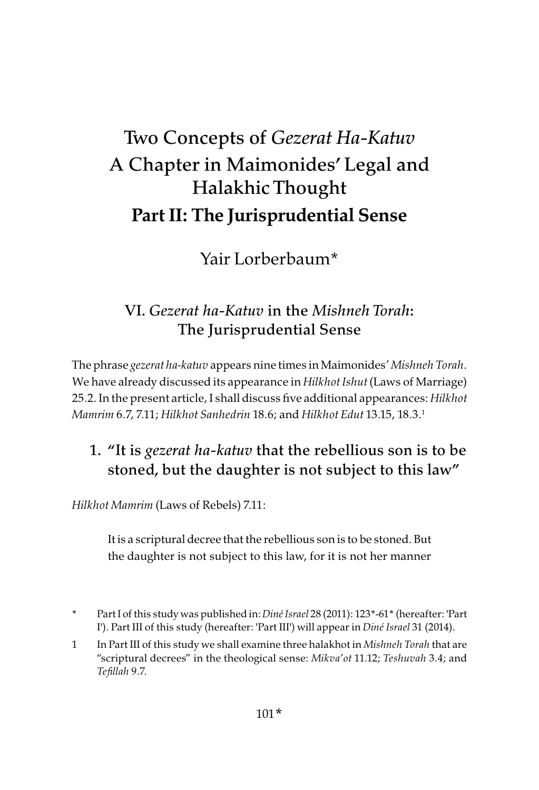# Two Concepts of *Gezerat Ha-Katuv* A Chapter in Maimonides' Legal and Halakhic Thought Part II: The Jurisprudential Sense

Yair Lorberbaum\*

# VI. *Gezerat ha-Katuv* in the *Mishneh Torah*: The Jurisprudential Sense

The phrase gezerat ha-katuv appears nine times in Maimonides' Mishneh Torah. We have already discussed its appearance in Hilkhot Ishut (Laws of Marriage) 25.2. In the present article, I shall discuss five additional appearances: Hilkhot Mamrim 6.7, 7.11; Hilkhot Sanhedrin 18.6; and Hilkhot Edut 13.15, 18.3.1

# 1. "It is *gezerat ha-katuv* that the rebellious son is to be stoned, but the daughter is not subject to this law"

Hilkhot Mamrim (Laws of Rebels) 7.11:

It is a scriptural decree that the rebellious son is to be stoned. But the daughter is not subject to this law, for it is not her manner

- \* Part I of this study was published in: Diné Israel 28 (2011): 123\*-61\* (hereafter: 'Part I'). Part III of this study (hereafter: 'Part III') will appear in Diné Israel 31 (2014).
- 1 In Part III of this study we shall examine three halakhot in Mishneh Torah that are "scriptural decrees" in the theological sense: Mikva'ot 11.12; Teshuvah 3.4; and Tefillah 9.7.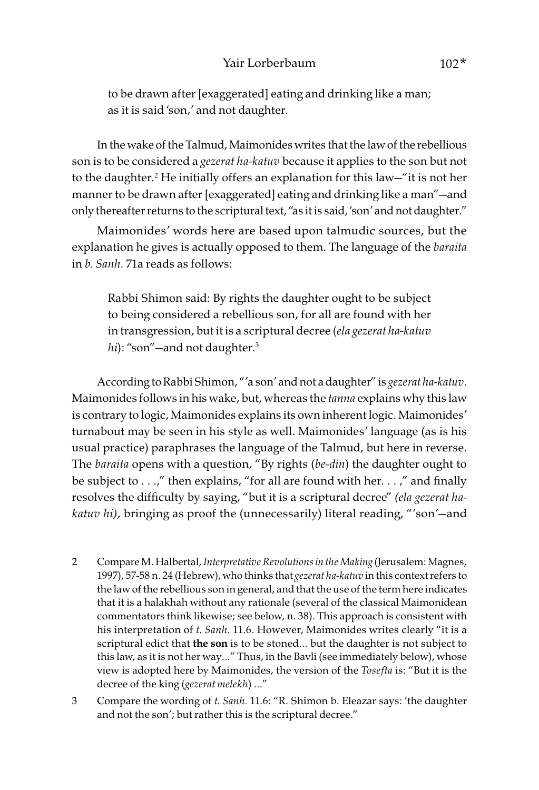to be drawn after [exaggerated] eating and drinking like a man; as it is said 'son,' and not daughter.

In the wake of the Talmud, Maimonides writes that the law of the rebellious son is to be considered a gezerat ha-katuv because it applies to the son but not to the daughter.2 He initially offers an explanation for this law—"it is not her manner to be drawn after [exaggerated] eating and drinking like a man"—and only thereafter returns to the scriptural text, "as it is said, 'son' and not daughter."

Maimonides' words here are based upon talmudic sources, but the explanation he gives is actually opposed to them. The language of the baraita in b. Sanh. 71a reads as follows:

Rabbi Shimon said: By rights the daughter ought to be subject to being considered a rebellious son, for all are found with her in transgression, but it is a scriptural decree (ela gezerat ha-katuv hi): "son"—and not daughter.<sup>3</sup>

According to Rabbi Shimon, "'a son' and not a daughter" is gezerat ha-katuv. Maimonides follows in his wake, but, whereas the *tanna* explains why this law is contrary to logic, Maimonides explains its own inherent logic. Maimonides' turnabout may be seen in his style as well. Maimonides' language (as is his usual practice) paraphrases the language of the Talmud, but here in reverse. The *baraita* opens with a question, "By rights (be-din) the daughter ought to be subject to . . .," then explains, "for all are found with her. . . ," and finally resolves the difficulty by saying, "but it is a scriptural decree" (ela gezerat hakatuv hi), bringing as proof the (unnecessarily) literal reading, "'son'—and

- 2 Compare M. Halbertal, Interpretative Revolutions in the Making (Jerusalem: Magnes, 1997), 57-58 n. 24 (Hebrew), who thinks that gezerat ha-katuv in this context refers to the law of the rebellious son in general, and that the use of the term here indicates that it is a halakhah without any rationale (several of the classical Maimonidean commentators think likewise; see below, n. 38). This approach is consistent with his interpretation of t. Sanh. 11.6. However, Maimonides writes clearly "it is a scriptural edict that the son is to be stoned... but the daughter is not subject to this law, as it is not her way…" Thus, in the Bavli (see immediately below), whose view is adopted here by Maimonides, the version of the Tosefta is: "But it is the decree of the king (gezerat melekh) …"
- 3 Compare the wording of t. Sanh. 11.6: "R. Shimon b. Eleazar says: 'the daughter and not the son'; but rather this is the scriptural decree."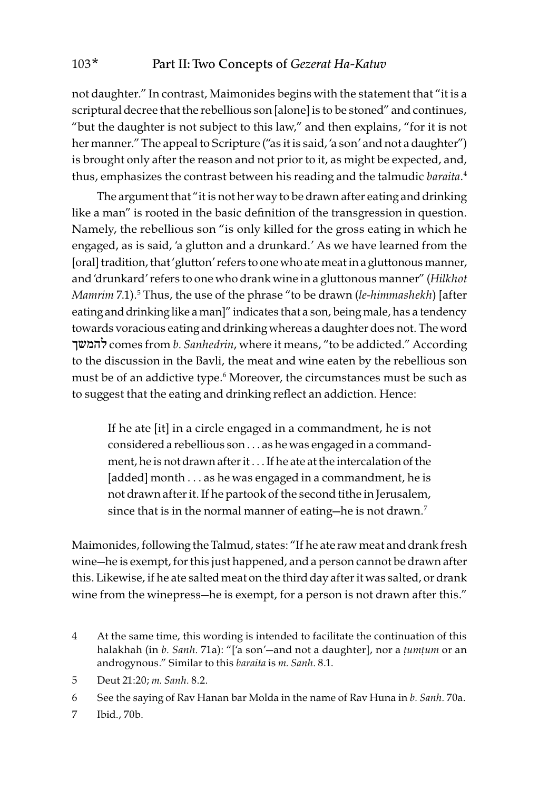not daughter." In contrast, Maimonides begins with the statement that "it is a scriptural decree that the rebellious son [alone] is to be stoned" and continues, "but the daughter is not subject to this law," and then explains, "for it is not her manner." The appeal to Scripture ("as it is said, 'a son' and not a daughter") is brought only after the reason and not prior to it, as might be expected, and, thus, emphasizes the contrast between his reading and the talmudic baraita. 4

The argument that "it is not her way to be drawn after eating and drinking like a man" is rooted in the basic definition of the transgression in question. Namely, the rebellious son "is only killed for the gross eating in which he engaged, as is said, 'a glutton and a drunkard.' As we have learned from the [oral] tradition, that 'glutton' refers to one who ate meat in a gluttonous manner, and 'drunkard' refers to one who drank wine in a gluttonous manner" (Hilkhot Mamrim 7.1).<sup>5</sup> Thus, the use of the phrase "to be drawn (l*e-himmashekh*) [after eating and drinking like a man]" indicates that a son, being male, has a tendency towards voracious eating and drinking whereas a daughter does not. The word להמשך comes from b. Sanhedrin, where it means, "to be addicted." According to the discussion in the Bavli, the meat and wine eaten by the rebellious son must be of an addictive type.6 Moreover, the circumstances must be such as to suggest that the eating and drinking reflect an addiction. Hence:

If he ate [it] in a circle engaged in a commandment, he is not considered a rebellious son . . . as he was engaged in a commandment, he is not drawn after it . . . If he ate at the intercalation of the [added] month . . . as he was engaged in a commandment, he is not drawn after it. If he partook of the second tithe in Jerusalem, since that is in the normal manner of eating-he is not drawn.<sup>7</sup>

Maimonides, following the Talmud, states: "If he ate raw meat and drank fresh wine—he is exempt, for this just happened, and a person cannot be drawn after this. Likewise, if he ate salted meat on the third day after it was salted, or drank wine from the winepress-he is exempt, for a person is not drawn after this."

- 4 At the same time, this wording is intended to facilitate the continuation of this halakhah (in b. Sanh. 71a): "['a son'—and not a daughter], nor a *ṭ*um*ṭ*um or an androgynous." Similar to this baraita is m. Sanh. 8.1.
- 5 Deut 21:20; m. Sanh. 8.2.
- 6 See the saying of Rav Hanan bar Molda in the name of Rav Huna in b. Sanh. 70a.
- 7 Ibid., 70b.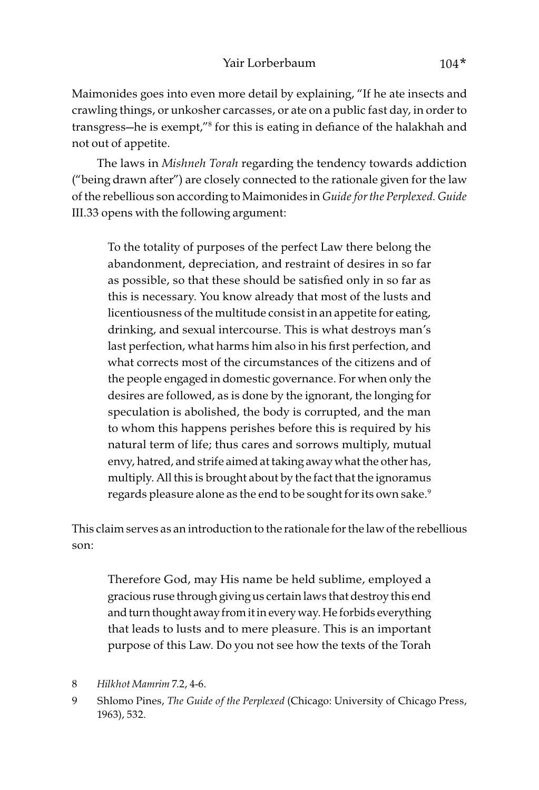Maimonides goes into even more detail by explaining, "If he ate insects and crawling things, or unkosher carcasses, or ate on a public fast day, in order to transgress—he is exempt,"8 for this is eating in defiance of the halakhah and not out of appetite.

The laws in Mishneh Torah regarding the tendency towards addiction ("being drawn after") are closely connected to the rationale given for the law of the rebellious son according to Maimonides in Guide for the Perplexed. Guide III.33 opens with the following argument:

To the totality of purposes of the perfect Law there belong the abandonment, depreciation, and restraint of desires in so far as possible, so that these should be satisfied only in so far as this is necessary. You know already that most of the lusts and licentiousness of the multitude consist in an appetite for eating, drinking, and sexual intercourse. This is what destroys man's last perfection, what harms him also in his first perfection, and what corrects most of the circumstances of the citizens and of the people engaged in domestic governance. For when only the desires are followed, as is done by the ignorant, the longing for speculation is abolished, the body is corrupted, and the man to whom this happens perishes before this is required by his natural term of life; thus cares and sorrows multiply, mutual envy, hatred, and strife aimed at taking away what the other has, multiply. All this is brought about by the fact that the ignoramus regards pleasure alone as the end to be sought for its own sake.<sup>9</sup>

This claim serves as an introduction to the rationale for the law of the rebellious son:

Therefore God, may His name be held sublime, employed a gracious ruse through giving us certain laws that destroy this end and turn thought away from it in every way. He forbids everything that leads to lusts and to mere pleasure. This is an important purpose of this Law. Do you not see how the texts of the Torah

<sup>8</sup> Hilkhot Mamrim 7.2, 4-6.

<sup>9</sup> Shlomo Pines, The Guide of the Perplexed (Chicago: University of Chicago Press, 1963), 532.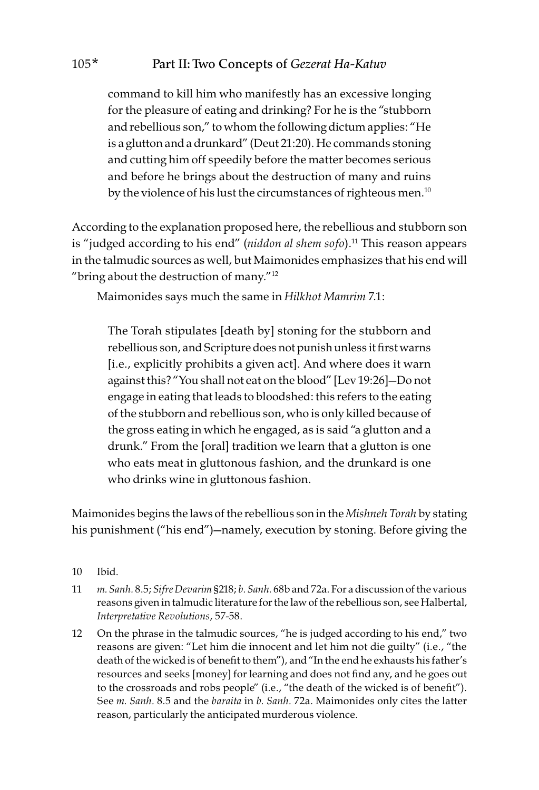command to kill him who manifestly has an excessive longing for the pleasure of eating and drinking? For he is the "stubborn and rebellious son," to whom the following dictum applies: "He is a glutton and a drunkard" (Deut 21:20). He commands stoning and cutting him off speedily before the matter becomes serious and before he brings about the destruction of many and ruins by the violence of his lust the circumstances of righteous men.<sup>10</sup>

According to the explanation proposed here, the rebellious and stubborn son is "judged according to his end" (niddon al shem  $sof$ o).<sup>11</sup> This reason appears in the talmudic sources as well, but Maimonides emphasizes that his end will "bring about the destruction of many."12

Maimonides says much the same in Hilkhot Mamrim 7.1:

The Torah stipulates [death by] stoning for the stubborn and rebellious son, and Scripture does not punish unless it first warns [i.e., explicitly prohibits a given act]. And where does it warn against this? "You shall not eat on the blood" [Lev 19:26]—Do not engage in eating that leads to bloodshed: this refers to the eating of the stubborn and rebellious son, who is only killed because of the gross eating in which he engaged, as is said "a glutton and a drunk." From the [oral] tradition we learn that a glutton is one who eats meat in gluttonous fashion, and the drunkard is one who drinks wine in gluttonous fashion.

Maimonides begins the laws of the rebellious son in the Mishneh Torah by stating his punishment ("his end")—namely, execution by stoning. Before giving the

- 10 Ibid.
- 11 m. Sanh. 8.5; Sifre Devarim §218; b. Sanh. 68b and 72a. For a discussion of the various reasons given in talmudic literature for the law of the rebellious son, see Halbertal, Interpretative Revolutions, 57-58.
- 12 On the phrase in the talmudic sources, "he is judged according to his end," two reasons are given: "Let him die innocent and let him not die guilty" (i.e., "the death of the wicked is of benefit to them"), and "In the end he exhausts his father's resources and seeks [money] for learning and does not find any, and he goes out to the crossroads and robs people" (i.e., "the death of the wicked is of benefit"). See m. Sanh. 8.5 and the baraita in b. Sanh. 72a. Maimonides only cites the latter reason, particularly the anticipated murderous violence.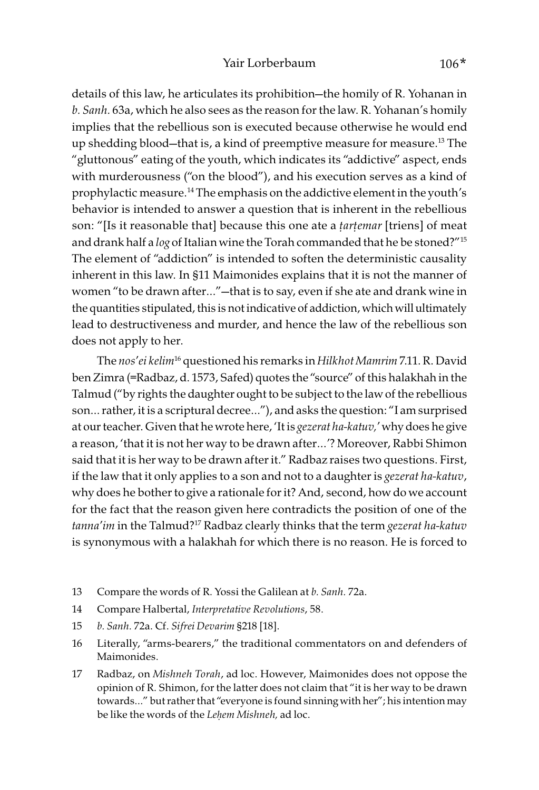details of this law, he articulates its prohibition—the homily of R. Yohanan in b. Sanh. 63a, which he also sees as the reason for the law. R. Yohanan's homily implies that the rebellious son is executed because otherwise he would end up shedding blood—that is, a kind of preemptive measure for measure.13 The "gluttonous" eating of the youth, which indicates its "addictive" aspect, ends with murderousness ("on the blood"), and his execution serves as a kind of prophylactic measure.<sup>14</sup> The emphasis on the addictive element in the youth's behavior is intended to answer a question that is inherent in the rebellious son: "[Is it reasonable that] because this one ate a *ṭ*ar*ṭ*emar [triens] of meat and drank half a log of Italian wine the Torah commanded that he be stoned?"<sup>15</sup> The element of "addiction" is intended to soften the deterministic causality inherent in this law. In §11 Maimonides explains that it is not the manner of women "to be drawn after…"—that is to say, even if she ate and drank wine in the quantities stipulated, this is not indicative of addiction, which will ultimately lead to destructiveness and murder, and hence the law of the rebellious son does not apply to her.

The nos' ei kelim<sup>16</sup> questioned his remarks in Hilkhot Mamrim 7.11. R. David ben Zimra (=Radbaz, d. 1573, Safed) quotes the "source" of this halakhah in the Talmud ("by rights the daughter ought to be subject to the law of the rebellious son… rather, it is a scriptural decree…"), and asks the question: "I am surprised at our teacher. Given that he wrote here, 'It is gezerat ha-katuv,' why does he give a reason, 'that it is not her way to be drawn after…'? Moreover, Rabbi Shimon said that it is her way to be drawn after it." Radbaz raises two questions. First, if the law that it only applies to a son and not to a daughter is *gezerat ha-katuv*, why does he bother to give a rationale for it? And, second, how do we account for the fact that the reason given here contradicts the position of one of the tanna'im in the Talmud?<sup>17</sup> Radbaz clearly thinks that the term gezerat ha-katuv is synonymous with a halakhah for which there is no reason. He is forced to

- 13 Compare the words of R. Yossi the Galilean at b. Sanh. 72a.
- 14 Compare Halbertal, Interpretative Revolutions, 58.
- 15 b. Sanh. 72a. Cf. Sifrei Devarim §218 [18].
- 16 Literally, "arms-bearers," the traditional commentators on and defenders of Maimonides.
- 17 Radbaz, on Mishneh Torah, ad loc. However, Maimonides does not oppose the opinion of R. Shimon, for the latter does not claim that "it is her way to be drawn towards…" but rather that "everyone is found sinning with her"; his intention may be like the words of the Le*ḥ*em Mishneh, ad loc.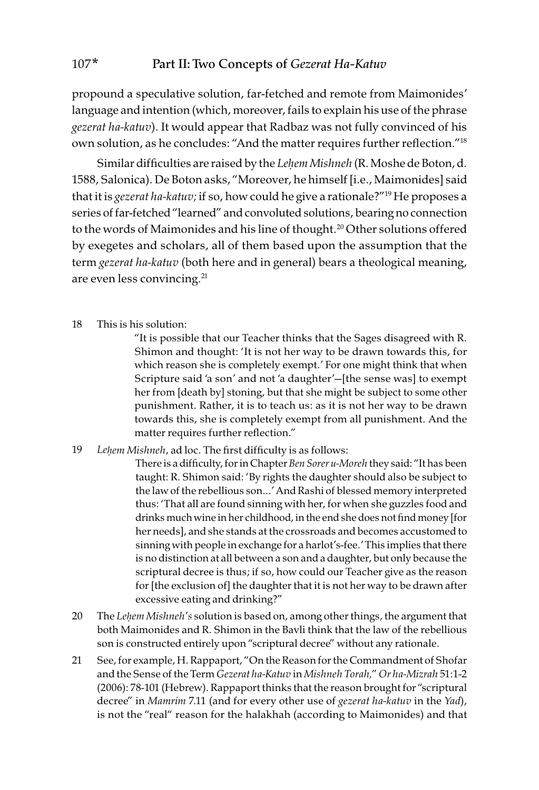propound a speculative solution, far-fetched and remote from Maimonides' language and intention (which, moreover, fails to explain his use of the phrase gezerat ha-katuv). It would appear that Radbaz was not fully convinced of his own solution, as he concludes: "And the matter requires further reflection."18

Similar difficulties are raised by the Le*ḥ*em Mishneh (R. Moshe de Boton, d. 1588, Salonica). De Boton asks, "Moreover, he himself [i.e., Maimonides] said that it is *gezerat ha-katuv*; if so, how could he give a rationale?"<sup>19</sup> He proposes a series of far-fetched "learned" and convoluted solutions, bearing no connection to the words of Maimonides and his line of thought.<sup>20</sup> Other solutions offered by exegetes and scholars, all of them based upon the assumption that the term *gezerat ha-katuv* (both here and in general) bears a theological meaning, are even less convincing.<sup>21</sup>

18 This is his solution:

"It is possible that our Teacher thinks that the Sages disagreed with R. Shimon and thought: 'It is not her way to be drawn towards this, for which reason she is completely exempt.' For one might think that when Scripture said 'a son' and not 'a daughter'—[the sense was] to exempt her from [death by] stoning, but that she might be subject to some other punishment. Rather, it is to teach us: as it is not her way to be drawn towards this, she is completely exempt from all punishment. And the matter requires further reflection."

19 Le*ḥ*em Mishneh, ad loc. The first difficulty is as follows:

There is a difficulty, for in Chapter Ben Sorer u-Moreh they said: "It has been taught: R. Shimon said: 'By rights the daughter should also be subject to the law of the rebellious son…' And Rashi of blessed memory interpreted thus: 'That all are found sinning with her, for when she guzzles food and drinks much wine in her childhood, in the end she does not find money [for her needs], and she stands at the crossroads and becomes accustomed to sinning with people in exchange for a harlot's-fee.' This implies that there is no distinction at all between a son and a daughter, but only because the scriptural decree is thus; if so, how could our Teacher give as the reason for [the exclusion of] the daughter that it is not her way to be drawn after excessive eating and drinking?"

- 20 The Le*ḥ*em Mishneh's solution is based on, among other things, the argument that both Maimonides and R. Shimon in the Bavli think that the law of the rebellious son is constructed entirely upon "scriptural decree" without any rationale.
- 21 See, for example, H. Rappaport, "On the Reason for the Commandment of Shofar and the Sense of the Term Gezerat ha-Katuv in Mishneh Torah," Or ha-Mizrah 51:1-2 (2006): 78-101 (Hebrew). Rappaport thinks that the reason brought for "scriptural decree" in Mamrim 7.11 (and for every other use of gezerat ha-katuv in the Yad), is not the "real" reason for the halakhah (according to Maimonides) and that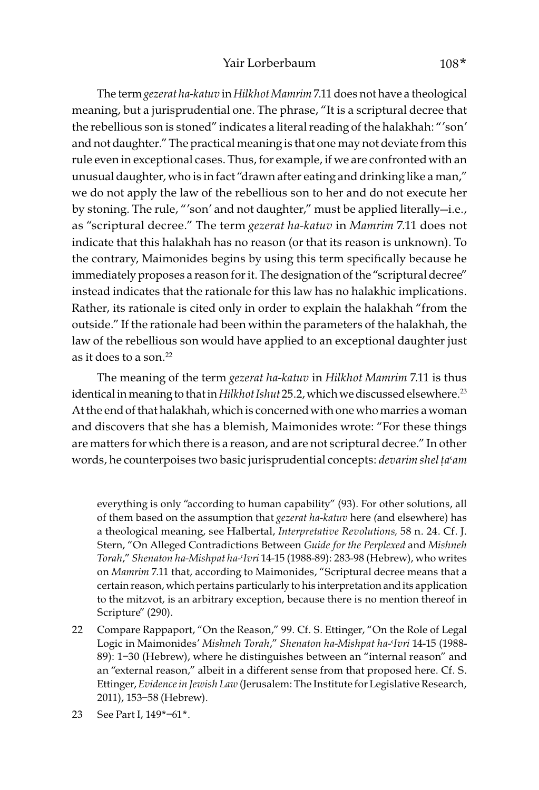The term gezerat ha-katuv in Hilkhot Mamrim 7.11 does not have a theological meaning, but a jurisprudential one. The phrase, "It is a scriptural decree that the rebellious son is stoned" indicates a literal reading of the halakhah: "'son' and not daughter." The practical meaning is that one may not deviate from this rule even in exceptional cases. Thus, for example, if we are confronted with an unusual daughter, who is in fact "drawn after eating and drinking like a man," we do not apply the law of the rebellious son to her and do not execute her by stoning. The rule, "'son' and not daughter," must be applied literally—i.e., as "scriptural decree." The term gezerat ha-katuv in Mamrim 7.11 does not indicate that this halakhah has no reason (or that its reason is unknown). To the contrary, Maimonides begins by using this term specifically because he immediately proposes a reason for it. The designation of the "scriptural decree" instead indicates that the rationale for this law has no halakhic implications. Rather, its rationale is cited only in order to explain the halakhah "from the outside." If the rationale had been within the parameters of the halakhah, the law of the rebellious son would have applied to an exceptional daughter just as it does to a son.<sup>22</sup>

The meaning of the term gezerat ha-katuv in Hilkhot Mamrim 7.11 is thus identical in meaning to that in Hilkhot Ishut 25.2, which we discussed elsewhere.<sup>23</sup> At the end of that halakhah, which is concerned with one who marries a woman and discovers that she has a blemish, Maimonides wrote: "For these things are matters for which there is a reason, and are not scriptural decree." In other words, he counterpoises two basic jurisprudential concepts: devarim shel ta'am

everything is only "according to human capability" (93). For other solutions, all of them based on the assumption that gezerat ha-katuv here (and elsewhere) has a theological meaning, see Halbertal, Interpretative Revolutions, 58 n. 24. Cf. J. Stern, "On Alleged Contradictions Between Guide for the Perplexed and Mishneh Torah," Shenaton ha-Mishpat ha-<Ivri 14-15 (1988-89): 283-98 (Hebrew), who writes on Mamrim 7.11 that, according to Maimonides, "Scriptural decree means that a certain reason, which pertains particularly to his interpretation and its application to the mitzvot, is an arbitrary exception, because there is no mention thereof in Scripture" (290).

- 22 Compare Rappaport, "On the Reason," 99. Cf. S. Ettinger, "On the Role of Legal Logic in Maimonides' Mishneh Torah," Shenaton ha-Mishpat ha-Ivri 14-15 (1988-89): 1–30 (Hebrew), where he distinguishes between an "internal reason" and an "external reason," albeit in a different sense from that proposed here. Cf. S. Ettinger, Evidence in Jewish Law (Jerusalem: The Institute for Legislative Research, 2011), 153–58 (Hebrew).
- 23 See Part I, 149\*–61\*.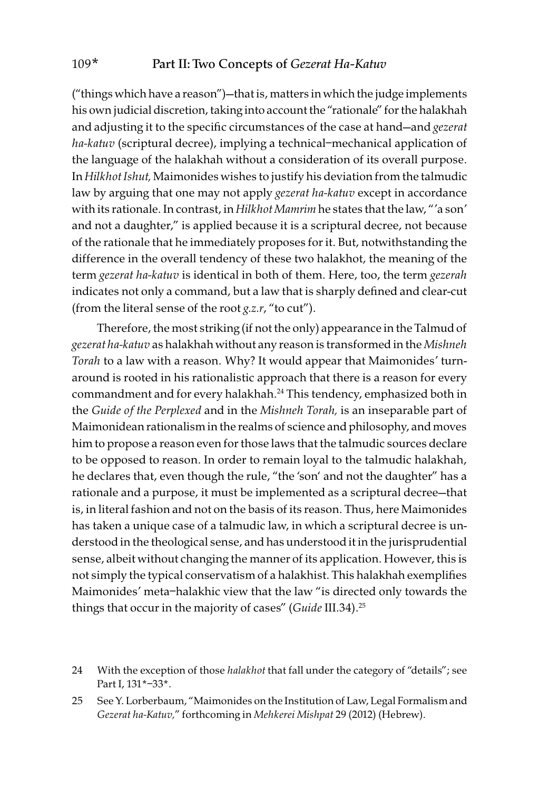("things which have a reason")—that is, matters in which the judge implements his own judicial discretion, taking into account the "rationale" for the halakhah and adjusting it to the specific circumstances of the case at hand-and gezerat ha-katuv (scriptural decree), implying a technical-mechanical application of the language of the halakhah without a consideration of its overall purpose. In Hilkhot Ishut, Maimonides wishes to justify his deviation from the talmudic law by arguing that one may not apply *gezerat ha-katuv* except in accordance with its rationale. In contrast, in Hilkhot Mamrim he states that the law, "'a son' and not a daughter," is applied because it is a scriptural decree, not because of the rationale that he immediately proposes for it. But, notwithstanding the difference in the overall tendency of these two halakhot, the meaning of the term gezerat ha-katuv is identical in both of them. Here, too, the term gezerah indicates not only a command, but a law that is sharply defined and clear-cut (from the literal sense of the root  $g.z.r$ , "to cut").

Therefore, the most striking (if not the only) appearance in the Talmud of gezerat ha-katuv as halakhah without any reason is transformed in the Mishneh Torah to a law with a reason. Why? It would appear that Maimonides' turnaround is rooted in his rationalistic approach that there is a reason for every commandment and for every halakhah.<sup>24</sup> This tendency, emphasized both in the Guide of the Perplexed and in the Mishneh Torah, is an inseparable part of Maimonidean rationalism in the realms of science and philosophy, and moves him to propose a reason even for those laws that the talmudic sources declare to be opposed to reason. In order to remain loyal to the talmudic halakhah, he declares that, even though the rule, "the 'son' and not the daughter" has a rationale and a purpose, it must be implemented as a scriptural decree—that is, in literal fashion and not on the basis of its reason. Thus, here Maimonides has taken a unique case of a talmudic law, in which a scriptural decree is understood in the theological sense, and has understood it in the jurisprudential sense, albeit without changing the manner of its application. However, this is not simply the typical conservatism of a halakhist. This halakhah exemplifies Maimonides' meta–halakhic view that the law "is directed only towards the things that occur in the majority of cases" (Guide III.34).<sup>25</sup>

24 With the exception of those halakhot that fall under the category of "details"; see Part I, 131\*–33\*.

25 See Y. Lorberbaum, "Maimonides on the Institution of Law, Legal Formalism and Gezerat ha-Katuv," forthcoming in Mehkerei Mishpat 29 (2012) (Hebrew).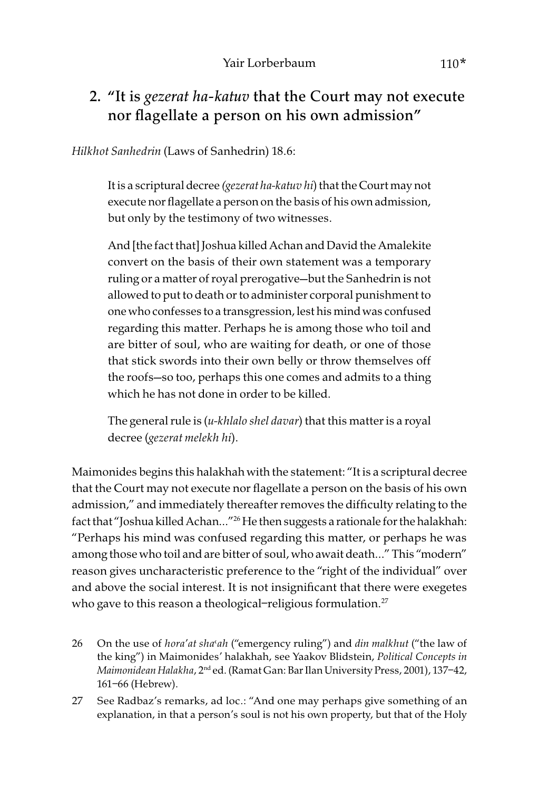### 2. "It is *gezerat ha-katuv* that the Court may not execute nor flagellate a person on his own admission"

Hilkhot Sanhedrin (Laws of Sanhedrin) 18.6:

It is a scriptural decree (gezerat ha-katuv hi) that the Court may not execute nor flagellate a person on the basis of his own admission, but only by the testimony of two witnesses.

And [the fact that] Joshua killed Achan and David the Amalekite convert on the basis of their own statement was a temporary ruling or a matter of royal prerogative—but the Sanhedrin is not allowed to put to death or to administer corporal punishment to one who confesses to a transgression, lest his mind was confused regarding this matter. Perhaps he is among those who toil and are bitter of soul, who are waiting for death, or one of those that stick swords into their own belly or throw themselves off the roofs—so too, perhaps this one comes and admits to a thing which he has not done in order to be killed.

The general rule is  $(u$ -khlalo shel davar) that this matter is a royal decree (gezerat melekh hi).

Maimonides begins this halakhah with the statement: "It is a scriptural decree that the Court may not execute nor flagellate a person on the basis of his own admission," and immediately thereafter removes the difficulty relating to the fact that "Joshua killed Achan..."<sup>26</sup> He then suggests a rationale for the halakhah: "Perhaps his mind was confused regarding this matter, or perhaps he was among those who toil and are bitter of soul, who await death…" This "modern" reason gives uncharacteristic preference to the "right of the individual" over and above the social interest. It is not insignificant that there were exegetes who gave to this reason a theological-religious formulation.<sup>27</sup>

- 26 On the use of hora'at sha'ah ("emergency ruling") and din malkhut ("the law of the king") in Maimonides' halakhah, see Yaakov Blidstein, Political Concepts in Maimonidean Halakha, 2<sup>nd</sup> ed. (Ramat Gan: Bar Ilan University Press, 2001), 137-42, 161–66 (Hebrew).
- 27 See Radbaz's remarks, ad loc.: "And one may perhaps give something of an explanation, in that a person's soul is not his own property, but that of the Holy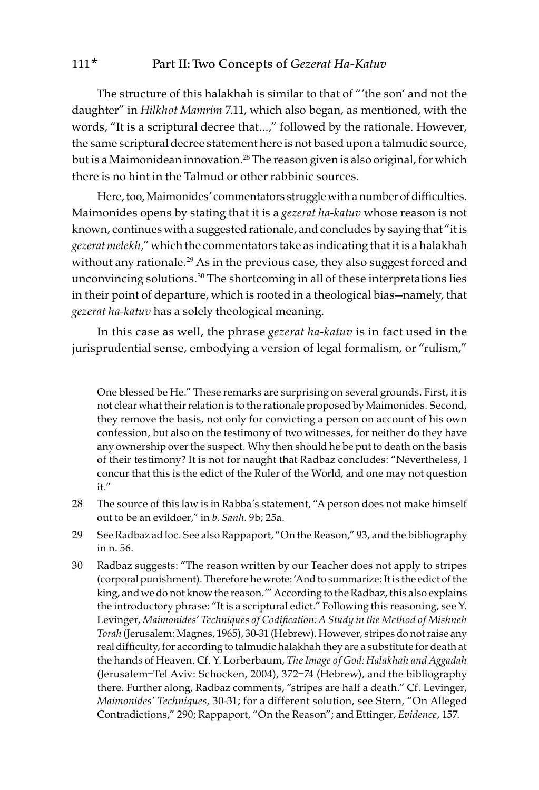The structure of this halakhah is similar to that of "'the son' and not the daughter" in Hilkhot Mamrim 7.11, which also began, as mentioned, with the words, "It is a scriptural decree that…," followed by the rationale. However, the same scriptural decree statement here is not based upon a talmudic source, but is a Maimonidean innovation.<sup>28</sup> The reason given is also original, for which there is no hint in the Talmud or other rabbinic sources.

Here, too, Maimonides' commentators struggle with a number of difficulties. Maimonides opens by stating that it is a *gezerat ha-katuv* whose reason is not known, continues with a suggested rationale, and concludes by saying that "it is gezerat melekh," which the commentators take as indicating that it is a halakhah without any rationale.<sup>29</sup> As in the previous case, they also suggest forced and unconvincing solutions.<sup>30</sup> The shortcoming in all of these interpretations lies in their point of departure, which is rooted in a theological bias—namely, that gezerat ha-katuv has a solely theological meaning.

In this case as well, the phrase gezerat ha-katuv is in fact used in the jurisprudential sense, embodying a version of legal formalism, or "rulism,"

One blessed be He." These remarks are surprising on several grounds. First, it is not clear what their relation is to the rationale proposed by Maimonides. Second, they remove the basis, not only for convicting a person on account of his own confession, but also on the testimony of two witnesses, for neither do they have any ownership over the suspect. Why then should he be put to death on the basis of their testimony? It is not for naught that Radbaz concludes: "Nevertheless, I concur that this is the edict of the Ruler of the World, and one may not question it."

- 28 The source of this law is in Rabba's statement, "A person does not make himself out to be an evildoer," in b. Sanh. 9b; 25a.
- 29 See Radbaz ad loc. See also Rappaport, "On the Reason," 93, and the bibliography in n. 56.
- 30 Radbaz suggests: "The reason written by our Teacher does not apply to stripes (corporal punishment). Therefore he wrote: 'And to summarize: It is the edict of the king, and we do not know the reason.'" According to the Radbaz, this also explains the introductory phrase: "It is a scriptural edict." Following this reasoning, see Y. Levinger, Maimonides' Techniques of Codification: A Study in the Method of Mishneh Torah (Jerusalem: Magnes, 1965), 30-31 (Hebrew). However, stripes do not raise any real difficulty, for according to talmudic halakhah they are a substitute for death at the hands of Heaven. Cf. Y. Lorberbaum, The Image of God: Halakhah and Aggadah (Jerusalem–Tel Aviv: Schocken, 2004), 372–74 (Hebrew), and the bibliography there. Further along, Radbaz comments, "stripes are half a death." Cf. Levinger, Maimonides' Techniques, 30-31; for a different solution, see Stern, "On Alleged Contradictions," 290; Rappaport, "On the Reason"; and Ettinger, Evidence, 157.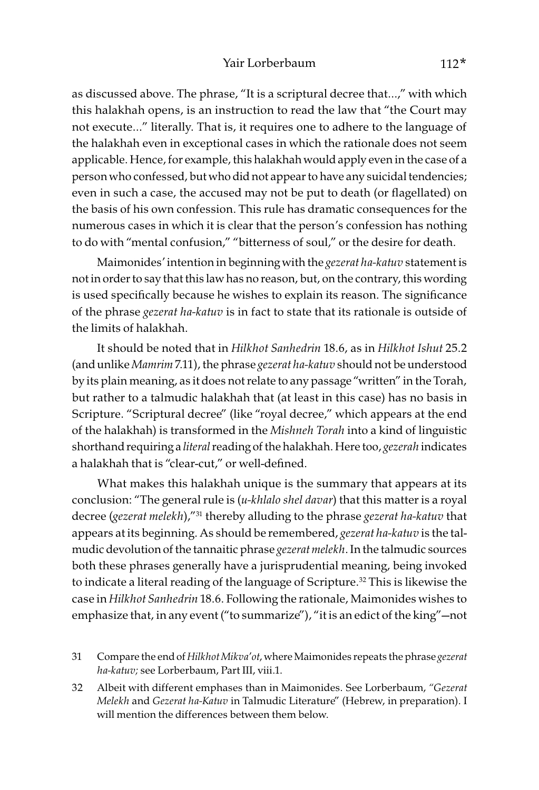as discussed above. The phrase, "It is a scriptural decree that…," with which this halakhah opens, is an instruction to read the law that "the Court may not execute…" literally. That is, it requires one to adhere to the language of the halakhah even in exceptional cases in which the rationale does not seem applicable. Hence, for example, this halakhah would apply even in the case of a person who confessed, but who did not appear to have any suicidal tendencies; even in such a case, the accused may not be put to death (or flagellated) on the basis of his own confession. This rule has dramatic consequences for the numerous cases in which it is clear that the person's confession has nothing to do with "mental confusion," "bitterness of soul," or the desire for death.

Maimonides' intention in beginning with the gezerat ha-katuv statement is not in order to say that this law has no reason, but, on the contrary, this wording is used specifically because he wishes to explain its reason. The significance of the phrase gezerat ha-katuv is in fact to state that its rationale is outside of the limits of halakhah.

It should be noted that in Hilkhot Sanhedrin 18.6, as in Hilkhot Ishut 25.2 (and unlike Mamrim 7.11), the phrase gezerat ha-katuv should not be understood by its plain meaning, as it does not relate to any passage "written" in the Torah, but rather to a talmudic halakhah that (at least in this case) has no basis in Scripture. "Scriptural decree" (like "royal decree," which appears at the end of the halakhah) is transformed in the Mishneh Torah into a kind of linguistic shorthand requiring a literal reading of the halakhah. Here too, gezerah indicates a halakhah that is "clear-cut," or well-defined.

What makes this halakhah unique is the summary that appears at its conclusion: "The general rule is (u-khlalo shel davar) that this matter is a royal decree (gezerat melekh),"<sup>31</sup> thereby alluding to the phrase gezerat ha-katuv that appears at its beginning. As should be remembered, gezerat ha-katuv is the talmudic devolution of the tannaitic phrase gezerat melekh. In the talmudic sources both these phrases generally have a jurisprudential meaning, being invoked to indicate a literal reading of the language of Scripture.<sup>32</sup> This is likewise the case in Hilkhot Sanhedrin 18.6. Following the rationale, Maimonides wishes to emphasize that, in any event ("to summarize"), "it is an edict of the king"—not

- 31 Compare the end of Hilkhot Mikva'ot, where Maimonides repeats the phrase gezerat ha-katuv; see Lorberbaum, Part III, viii.1.
- 32 Albeit with different emphases than in Maimonides. See Lorberbaum, "Gezerat Melekh and Gezerat ha-Katuv in Talmudic Literature" (Hebrew, in preparation). I will mention the differences between them below.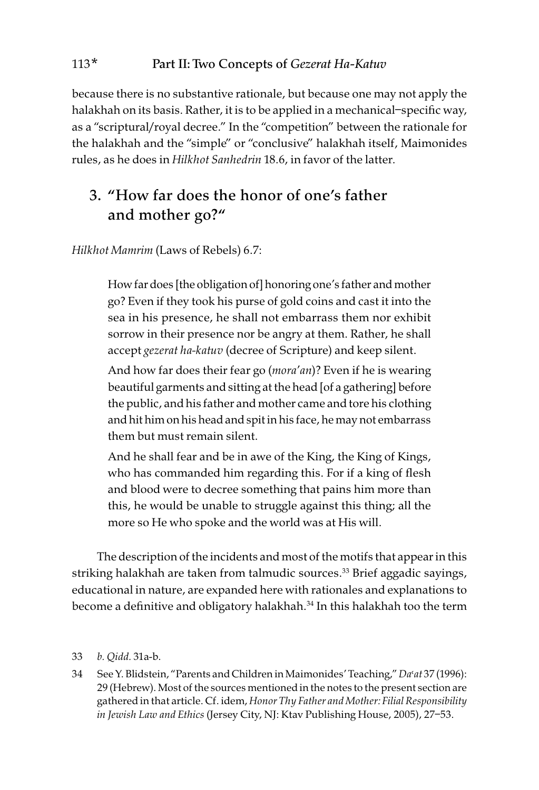because there is no substantive rationale, but because one may not apply the halakhah on its basis. Rather, it is to be applied in a mechanical–specific way, as a "scriptural/royal decree." In the "competition" between the rationale for the halakhah and the "simple" or "conclusive" halakhah itself, Maimonides rules, as he does in Hilkhot Sanhedrin 18.6, in favor of the latter.

## 3. "How far does the honor of one's father and mother go?"

Hilkhot Mamrim (Laws of Rebels) 6.7:

How far does [the obligation of] honoring one's father and mother go? Even if they took his purse of gold coins and cast it into the sea in his presence, he shall not embarrass them nor exhibit sorrow in their presence nor be angry at them. Rather, he shall accept gezerat ha-katuv (decree of Scripture) and keep silent.

And how far does their fear go (mora'an)? Even if he is wearing beautiful garments and sitting at the head [of a gathering] before the public, and his father and mother came and tore his clothing and hit him on his head and spit in his face, he may not embarrass them but must remain silent.

And he shall fear and be in awe of the King, the King of Kings, who has commanded him regarding this. For if a king of flesh and blood were to decree something that pains him more than this, he would be unable to struggle against this thing; all the more so He who spoke and the world was at His will.

The description of the incidents and most of the motifs that appear in this striking halakhah are taken from talmudic sources.<sup>33</sup> Brief aggadic sayings, educational in nature, are expanded here with rationales and explanations to become a definitive and obligatory halakhah.<sup>34</sup> In this halakhah too the term

#### 33 b. Qidd. 31a-b.

34 See Y. Blidstein, "Parents and Children in Maimonides' Teaching," Da'at 37 (1996): 29 (Hebrew). Most of the sources mentioned in the notes to the present section are gathered in that article. Cf. idem, Honor Thy Father and Mother: Filial Responsibility in Jewish Law and Ethics (Jersey City, NJ: Ktav Publishing House, 2005), 27–53.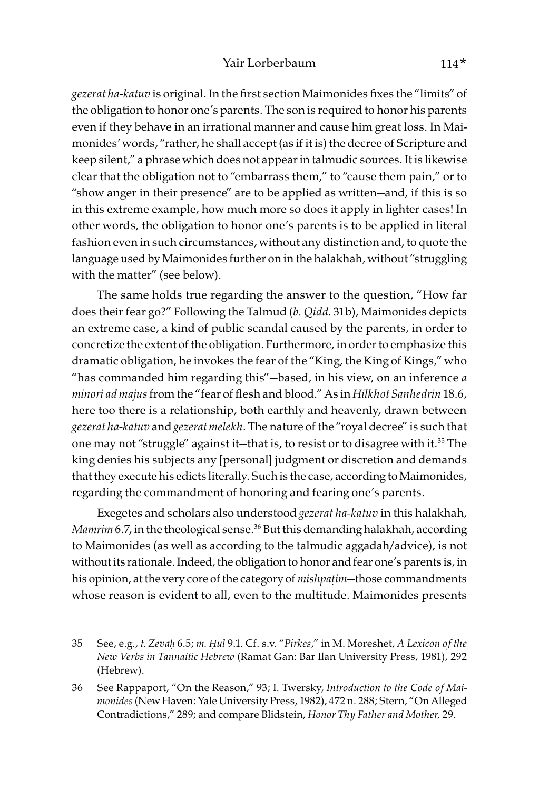gezerat ha-katuv is original. In the first section Maimonides fixes the "limits" of the obligation to honor one's parents. The son is required to honor his parents even if they behave in an irrational manner and cause him great loss. In Maimonides' words, "rather, he shall accept (as if it is) the decree of Scripture and keep silent," a phrase which does not appear in talmudic sources. It is likewise clear that the obligation not to "embarrass them," to "cause them pain," or to "show anger in their presence" are to be applied as written—and, if this is so in this extreme example, how much more so does it apply in lighter cases! In other words, the obligation to honor one's parents is to be applied in literal fashion even in such circumstances, without any distinction and, to quote the language used by Maimonides further on in the halakhah, without "struggling with the matter" (see below).

The same holds true regarding the answer to the question, "How far does their fear go?" Following the Talmud (b. Qidd. 31b), Maimonides depicts an extreme case, a kind of public scandal caused by the parents, in order to concretize the extent of the obligation. Furthermore, in order to emphasize this dramatic obligation, he invokes the fear of the "King, the King of Kings," who "has commanded him regarding this"—based, in his view, on an inference  $a$ minori ad majus from the "fear of flesh and blood." As in Hilkhot Sanhedrin 18.6, here too there is a relationship, both earthly and heavenly, drawn between gezerat ha-katuv and gezerat melekh. The nature of the "royal decree" is such that one may not "struggle" against it—that is, to resist or to disagree with it.<sup>35</sup> The king denies his subjects any [personal] judgment or discretion and demands that they execute his edicts literally. Such is the case, according to Maimonides, regarding the commandment of honoring and fearing one's parents.

Exegetes and scholars also understood gezerat ha-katuv in this halakhah, Mamrim 6.7, in the theological sense.<sup>36</sup> But this demanding halakhah, according to Maimonides (as well as according to the talmudic aggadah/advice), is not without its rationale. Indeed, the obligation to honor and fear one's parents is, in his opinion, at the very core of the category of mishpa*ṭ*im—those commandments whose reason is evident to all, even to the multitude. Maimonides presents

<sup>35</sup> See, e.g., t. Zeva*ḥ* 6.5; m. *Ḥ*ul 9.1. Cf. s.v. "Pirkes," in M. Moreshet, A Lexicon of the New Verbs in Tannaitic Hebrew (Ramat Gan: Bar Ilan University Press, 1981), 292 (Hebrew).

<sup>36</sup> See Rappaport, "On the Reason," 93; I. Twersky, Introduction to the Code of Maimonides (New Haven: Yale University Press, 1982), 472 n. 288; Stern, "On Alleged Contradictions," 289; and compare Blidstein, Honor Thy Father and Mother, 29.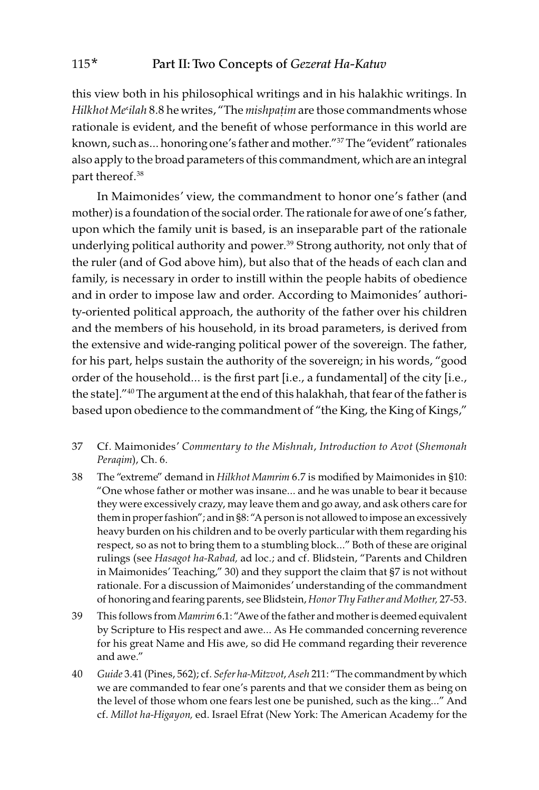this view both in his philosophical writings and in his halakhic writings. In Hilkhot Me<sup>*ilah* 8.8 he writes, "The mishpatim are those commandments whose</sup> rationale is evident, and the benefit of whose performance in this world are known, such as… honoring one's father and mother."37 The "evident" rationales also apply to the broad parameters of this commandment, which are an integral part thereof.<sup>38</sup>

In Maimonides' view, the commandment to honor one's father (and mother) is a foundation of the social order. The rationale for awe of one's father, upon which the family unit is based, is an inseparable part of the rationale underlying political authority and power.<sup>39</sup> Strong authority, not only that of the ruler (and of God above him), but also that of the heads of each clan and family, is necessary in order to instill within the people habits of obedience and in order to impose law and order. According to Maimonides' authority-oriented political approach, the authority of the father over his children and the members of his household, in its broad parameters, is derived from the extensive and wide-ranging political power of the sovereign. The father, for his part, helps sustain the authority of the sovereign; in his words, "good order of the household… is the first part [i.e., a fundamental] of the city [i.e., the state]."40 The argument at the end of this halakhah, that fear of the father is based upon obedience to the commandment of "the King, the King of Kings,"

- 37 Cf. Maimonides' Commentary to the Mishnah, Introduction to Avot (Shemonah Peraqim), Ch. 6.
- 38 The "extreme" demand in Hilkhot Mamrim 6.7 is modified by Maimonides in §10: "One whose father or mother was insane… and he was unable to bear it because they were excessively crazy, may leave them and go away, and ask others care for them in proper fashion"; and in §8: "A person is not allowed to impose an excessively heavy burden on his children and to be overly particular with them regarding his respect, so as not to bring them to a stumbling block…" Both of these are original rulings (see Hasagot ha-Rabad, ad loc.; and cf. Blidstein, "Parents and Children in Maimonides' Teaching," 30) and they support the claim that §7 is not without rationale. For a discussion of Maimonides' understanding of the commandment of honoring and fearing parents, see Blidstein, Honor Thy Father and Mother, 27-53.
- 39 This follows from Mamrim 6.1: "Awe of the father and mother is deemed equivalent by Scripture to His respect and awe… As He commanded concerning reverence for his great Name and His awe, so did He command regarding their reverence and awe."
- 40 Guide 3.41 (Pines, 562); cf. Sefer ha-Mitzvot, Aseh 211: "The commandment by which we are commanded to fear one's parents and that we consider them as being on the level of those whom one fears lest one be punished, such as the king…" And cf. Millot ha-Higayon, ed. Israel Efrat (New York: The American Academy for the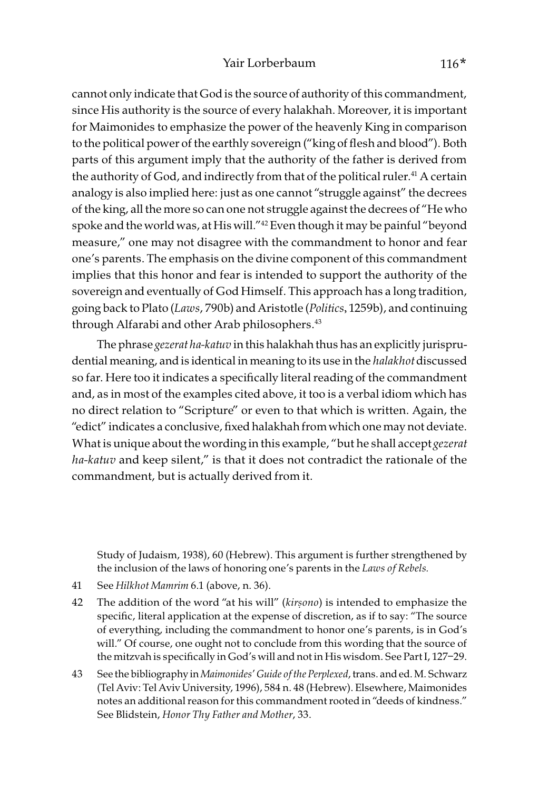cannot only indicate that God is the source of authority of this commandment, since His authority is the source of every halakhah. Moreover, it is important for Maimonides to emphasize the power of the heavenly King in comparison to the political power of the earthly sovereign ("king of flesh and blood"). Both parts of this argument imply that the authority of the father is derived from the authority of God, and indirectly from that of the political ruler.<sup>41</sup> A certain analogy is also implied here: just as one cannot "struggle against" the decrees of the king, all the more so can one not struggle against the decrees of "He who spoke and the world was, at His will."42 Even though it may be painful "beyond measure," one may not disagree with the commandment to honor and fear one's parents. The emphasis on the divine component of this commandment implies that this honor and fear is intended to support the authority of the sovereign and eventually of God Himself. This approach has a long tradition, going back to Plato (Laws, 790b) and Aristotle (Politics, 1259b), and continuing through Alfarabi and other Arab philosophers.<sup>43</sup>

The phrase *gezerat ha-katuv* in this halakhah thus has an explicitly jurisprudential meaning, and is identical in meaning to its use in the halakhot discussed so far. Here too it indicates a specifically literal reading of the commandment and, as in most of the examples cited above, it too is a verbal idiom which has no direct relation to "Scripture" or even to that which is written. Again, the "edict" indicates a conclusive, fixed halakhah from which one may not deviate. What is unique about the wording in this example, "but he shall accept gezerat ha-katuv and keep silent," is that it does not contradict the rationale of the commandment, but is actually derived from it.

Study of Judaism, 1938), 60 (Hebrew). This argument is further strengthened by the inclusion of the laws of honoring one's parents in the Laws of Rebels.

- 41 See Hilkhot Mamrim 6.1 (above, n. 36).
- 42 The addition of the word "at his will" (kir*ṣ*ono) is intended to emphasize the specific, literal application at the expense of discretion, as if to say: "The source of everything, including the commandment to honor one's parents, is in God's will." Of course, one ought not to conclude from this wording that the source of the mitzvah is specifically in God's will and not in His wisdom. See Part I, 127–29.
- 43 See the bibliography in Maimonides' Guide of the Perplexed, trans. and ed. M. Schwarz (Tel Aviv: Tel Aviv University, 1996), 584 n. 48 (Hebrew). Elsewhere, Maimonides notes an additional reason for this commandment rooted in "deeds of kindness." See Blidstein, Honor Thy Father and Mother, 33.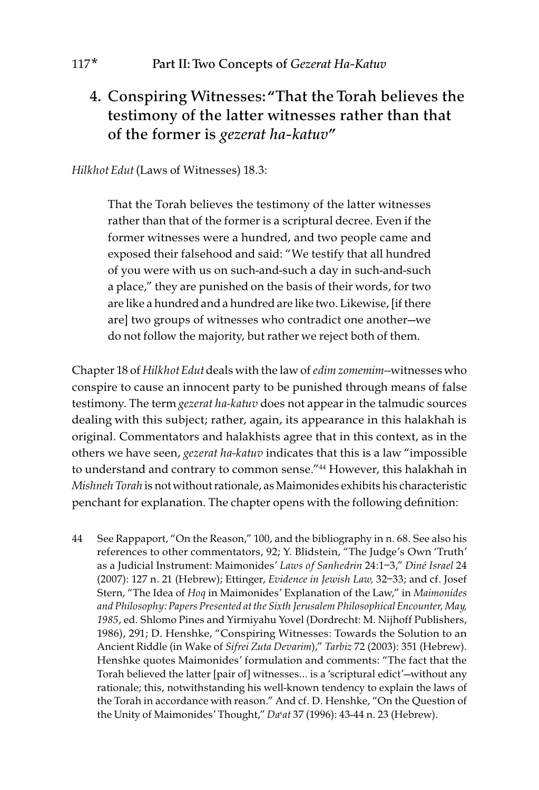## 4. Conspiring Witnesses: "That the Torah believes the testimony of the latter witnesses rather than that of the former is *gezerat ha-katuv*"

#### Hilkhot Edut (Laws of Witnesses) 18.3:

That the Torah believes the testimony of the latter witnesses rather than that of the former is a scriptural decree. Even if the former witnesses were a hundred, and two people came and exposed their falsehood and said: "We testify that all hundred of you were with us on such-and-such a day in such-and-such a place," they are punished on the basis of their words, for two are like a hundred and a hundred are like two. Likewise, [if there are] two groups of witnesses who contradict one another—we do not follow the majority, but rather we reject both of them.

Chapter 18 of Hilkhot Edut deals with the law of edim zomemim—witnesses who conspire to cause an innocent party to be punished through means of false testimony. The term *gezerat ha-katuv* does not appear in the talmudic sources dealing with this subject; rather, again, its appearance in this halakhah is original. Commentators and halakhists agree that in this context, as in the others we have seen, gezerat ha-katuv indicates that this is a law "impossible to understand and contrary to common sense."44 However, this halakhah in Mishneh Torah is not without rationale, as Maimonides exhibits his characteristic penchant for explanation. The chapter opens with the following definition:

44 See Rappaport, "On the Reason," 100, and the bibliography in n. 68. See also his references to other commentators, 92; Y. Blidstein, "The Judge's Own 'Truth' as a Judicial Instrument: Maimonides' Laws of Sanhedrin 24:1–3," Diné Israel 24 (2007): 127 n. 21 (Hebrew); Ettinger, Evidence in Jewish Law, 32–33; and cf. Josef Stern, "The Idea of Hoq in Maimonides' Explanation of the Law," in Maimonides and Philosophy: Papers Presented at the Sixth Jerusalem Philosophical Encounter, May, 1985, ed. Shlomo Pines and Yirmiyahu Yovel (Dordrecht: M. Nijhoff Publishers, 1986), 291; D. Henshke, "Conspiring Witnesses: Towards the Solution to an Ancient Riddle (in Wake of Sifrei Zuta Devarim)," Tarbiz 72 (2003): 351 (Hebrew). Henshke quotes Maimonides' formulation and comments: "The fact that the Torah believed the latter [pair of] witnesses… is a 'scriptural edict'—without any rationale; this, notwithstanding his well-known tendency to explain the laws of the Torah in accordance with reason." And cf. D. Henshke, "On the Question of the Unity of Maimonides' Thought," Da'at 37 (1996): 43-44 n. 23 (Hebrew).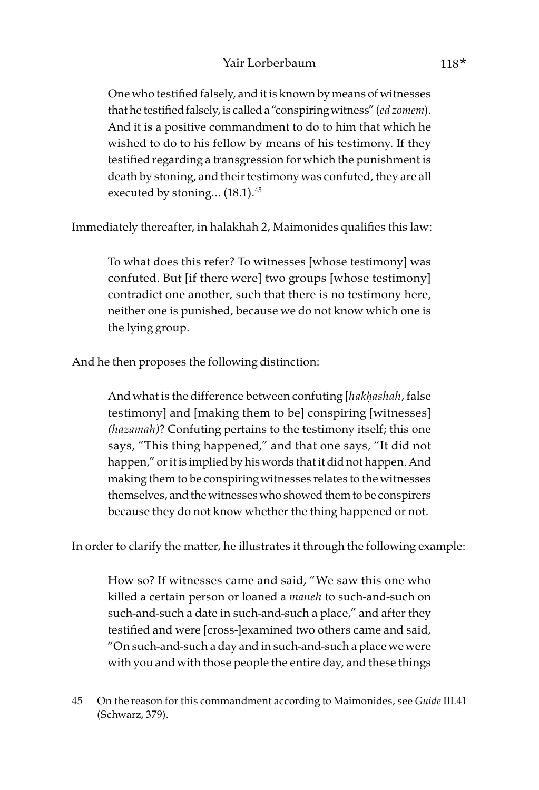One who testified falsely, and it is known by means of witnesses that he testified falsely, is called a "conspiring witness" (ed zomem). And it is a positive commandment to do to him that which he wished to do to his fellow by means of his testimony. If they testified regarding a transgression for which the punishment is death by stoning, and their testimony was confuted, they are all executed by stoning… (18.1).45

Immediately thereafter, in halakhah 2, Maimonides qualifies this law:

To what does this refer? To witnesses [whose testimony] was confuted. But [if there were] two groups [whose testimony] contradict one another, such that there is no testimony here, neither one is punished, because we do not know which one is the lying group.

And he then proposes the following distinction:

And what is the difference between confuting [hak*ḥ*ashah, false testimony] and [making them to be] conspiring [witnesses] (hazamah)? Confuting pertains to the testimony itself; this one says, "This thing happened," and that one says, "It did not happen," or it is implied by his words that it did not happen. And making them to be conspiring witnesses relates to the witnesses themselves, and the witnesses who showed them to be conspirers because they do not know whether the thing happened or not.

In order to clarify the matter, he illustrates it through the following example:

How so? If witnesses came and said, "We saw this one who killed a certain person or loaned a maneh to such-and-such on such-and-such a date in such-and-such a place," and after they testified and were [cross-]examined two others came and said, "On such-and-such a day and in such-and-such a place we were with you and with those people the entire day, and these things

<sup>45</sup> On the reason for this commandment according to Maimonides, see Guide III.41 (Schwarz, 379).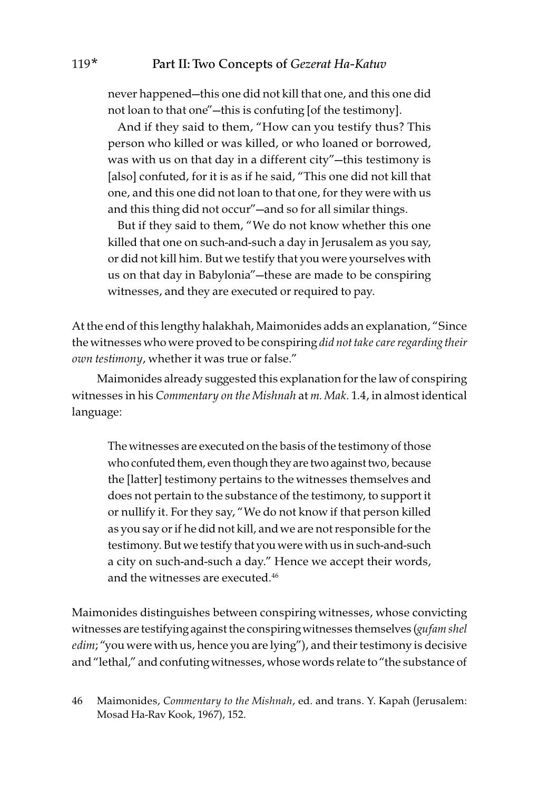never happened—this one did not kill that one, and this one did not loan to that one"—this is confuting [of the testimony].

And if they said to them, "How can you testify thus? This person who killed or was killed, or who loaned or borrowed, was with us on that day in a different city"—this testimony is [also] confuted, for it is as if he said, "This one did not kill that one, and this one did not loan to that one, for they were with us and this thing did not occur"—and so for all similar things.

But if they said to them, "We do not know whether this one killed that one on such-and-such a day in Jerusalem as you say, or did not kill him. But we testify that you were yourselves with us on that day in Babylonia"—these are made to be conspiring witnesses, and they are executed or required to pay.

At the end of this lengthy halakhah, Maimonides adds an explanation, "Since the witnesses who were proved to be conspiring did not take care regarding their own testimony, whether it was true or false."

Maimonides already suggested this explanation for the law of conspiring witnesses in his Commentary on the Mishnah at m. Mak. 1.4, in almost identical language:

The witnesses are executed on the basis of the testimony of those who confuted them, even though they are two against two, because the [latter] testimony pertains to the witnesses themselves and does not pertain to the substance of the testimony, to support it or nullify it. For they say, "We do not know if that person killed as you say or if he did not kill, and we are not responsible for the testimony. But we testify that you were with us in such-and-such a city on such-and-such a day." Hence we accept their words, and the witnesses are executed.46

Maimonides distinguishes between conspiring witnesses, whose convicting witnesses are testifying against the conspiring witnesses themselves (gufam shel edim; "you were with us, hence you are lying"), and their testimony is decisive and "lethal," and confuting witnesses, whose words relate to "the substance of

<sup>46</sup> Maimonides, Commentary to the Mishnah, ed. and trans. Y. Kapah (Jerusalem: Mosad Ha-Rav Kook, 1967), 152.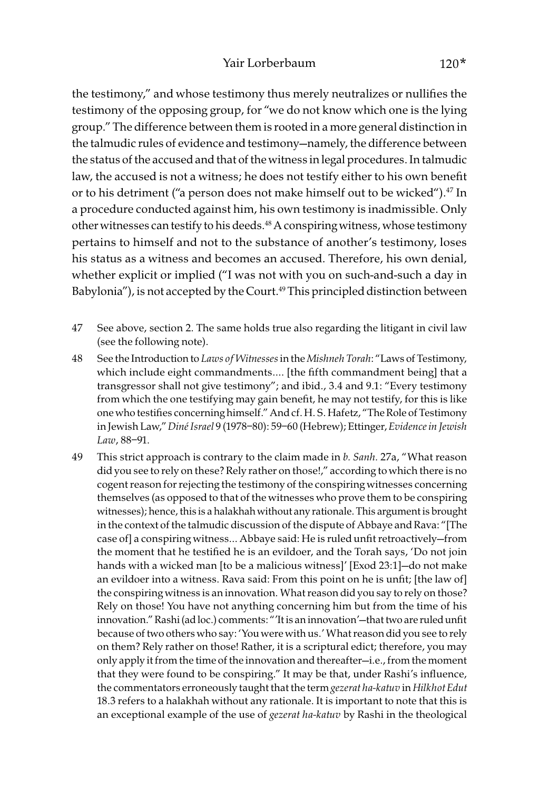the testimony," and whose testimony thus merely neutralizes or nullifies the testimony of the opposing group, for "we do not know which one is the lying group." The difference between them is rooted in a more general distinction in the talmudic rules of evidence and testimony—namely, the difference between the status of the accused and that of the witness in legal procedures. In talmudic law, the accused is not a witness; he does not testify either to his own benefit or to his detriment ("a person does not make himself out to be wicked").<sup>47</sup> In a procedure conducted against him, his own testimony is inadmissible. Only other witnesses can testify to his deeds.<sup>48</sup> A conspiring witness, whose testimony pertains to himself and not to the substance of another's testimony, loses his status as a witness and becomes an accused. Therefore, his own denial, whether explicit or implied ("I was not with you on such-and-such a day in Babylonia"), is not accepted by the Court.<sup>49</sup> This principled distinction between

- 47 See above, section 2. The same holds true also regarding the litigant in civil law (see the following note).
- 48 See the Introduction to Laws of Witnesses in the Mishneh Torah: "Laws of Testimony, which include eight commandments…. [the fifth commandment being] that a transgressor shall not give testimony"; and ibid., 3.4 and 9.1: "Every testimony from which the one testifying may gain benefit, he may not testify, for this is like one who testifies concerning himself." And cf. H. S. Hafetz, "The Role of Testimony in Jewish Law," Diné Israel 9 (1978–80): 59–60 (Hebrew); Ettinger, Evidence in Jewish Law, 88–91.
- 49 This strict approach is contrary to the claim made in b. Sanh. 27a, "What reason did you see to rely on these? Rely rather on those!," according to which there is no cogent reason for rejecting the testimony of the conspiring witnesses concerning themselves (as opposed to that of the witnesses who prove them to be conspiring witnesses); hence, this is a halakhah without any rationale. This argument is brought in the context of the talmudic discussion of the dispute of Abbaye and Rava: "[The case of] a conspiring witness… Abbaye said: He is ruled unfit retroactively—from the moment that he testified he is an evildoer, and the Torah says, 'Do not join hands with a wicked man [to be a malicious witness]' [Exod 23:1]—do not make an evildoer into a witness. Rava said: From this point on he is unfit; [the law of] the conspiring witness is an innovation. What reason did you say to rely on those? Rely on those! You have not anything concerning him but from the time of his innovation." Rashi (ad loc.) comments: "'It is an innovation'—that two are ruled unfit because of two others who say: 'You were with us.' What reason did you see to rely on them? Rely rather on those! Rather, it is a scriptural edict; therefore, you may only apply it from the time of the innovation and thereafter—i.e., from the moment that they were found to be conspiring." It may be that, under Rashi's influence, the commentators erroneously taught that the term gezerat ha-katuv in Hilkhot Edut 18.3 refers to a halakhah without any rationale. It is important to note that this is an exceptional example of the use of gezerat ha-katuv by Rashi in the theological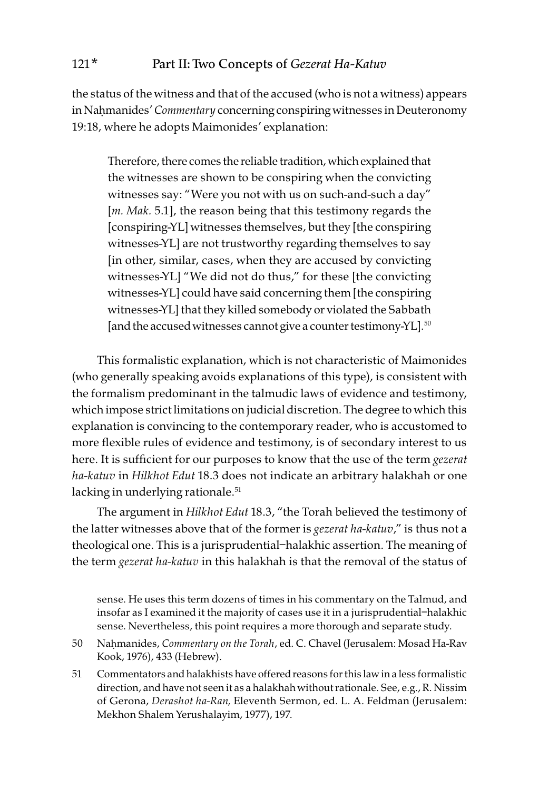the status of the witness and that of the accused (who is not a witness) appears in Nahmanides' Commentary concerning conspiring witnesses in Deuteronomy 19:18, where he adopts Maimonides' explanation:

Therefore, there comes the reliable tradition, which explained that the witnesses are shown to be conspiring when the convicting witnesses say: "Were you not with us on such-and-such a day" [*m. Mak.* 5.1], the reason being that this testimony regards the [conspiring-YL] witnesses themselves, but they [the conspiring witnesses-YL] are not trustworthy regarding themselves to say [in other, similar, cases, when they are accused by convicting witnesses-YL] "We did not do thus," for these [the convicting witnesses-YL] could have said concerning them [the conspiring witnesses-YL] that they killed somebody or violated the Sabbath [and the accused witnesses cannot give a counter testimony-YL].<sup>50</sup>

This formalistic explanation, which is not characteristic of Maimonides (who generally speaking avoids explanations of this type), is consistent with the formalism predominant in the talmudic laws of evidence and testimony, which impose strict limitations on judicial discretion. The degree to which this explanation is convincing to the contemporary reader, who is accustomed to more flexible rules of evidence and testimony, is of secondary interest to us here. It is sufficient for our purposes to know that the use of the term gezerat ha-katuv in Hilkhot Edut 18.3 does not indicate an arbitrary halakhah or one lacking in underlying rationale.<sup>51</sup>

The argument in Hilkhot Edut 18.3, "the Torah believed the testimony of the latter witnesses above that of the former is *gezerat ha-katuv*," is thus not a theological one. This is a jurisprudential–halakhic assertion. The meaning of the term gezerat ha-katuv in this halakhah is that the removal of the status of

sense. He uses this term dozens of times in his commentary on the Talmud, and insofar as I examined it the majority of cases use it in a jurisprudential–halakhic sense. Nevertheless, this point requires a more thorough and separate study.

- 50 Naḥmanides, Commentary on the Torah, ed. C. Chavel (Jerusalem: Mosad Ha-Rav Kook, 1976), 433 (Hebrew).
- 51 Commentators and halakhists have offered reasons for this law in a less formalistic direction, and have not seen it as a halakhah without rationale. See, e.g., R. Nissim of Gerona, Derashot ha-Ran, Eleventh Sermon, ed. L. A. Feldman (Jerusalem: Mekhon Shalem Yerushalayim, 1977), 197.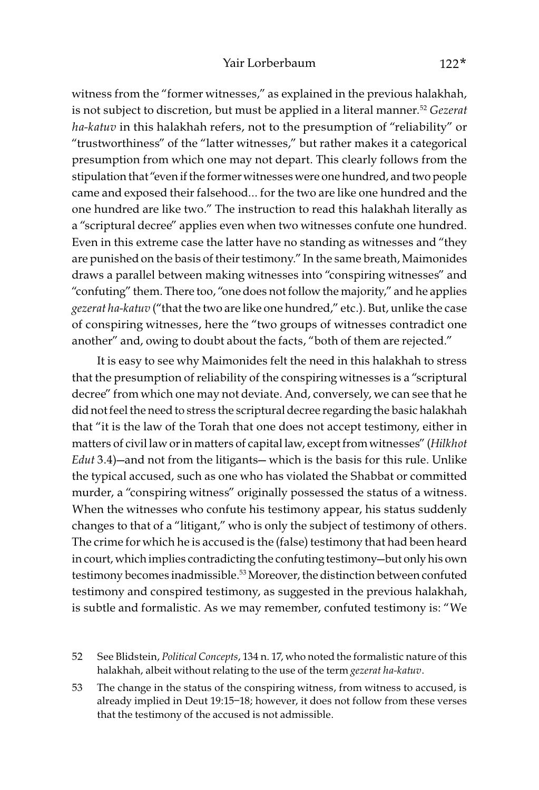witness from the "former witnesses," as explained in the previous halakhah, is not subject to discretion, but must be applied in a literal manner.<sup>52</sup> Gezerat ha-katuv in this halakhah refers, not to the presumption of "reliability" or "trustworthiness" of the "latter witnesses," but rather makes it a categorical presumption from which one may not depart. This clearly follows from the stipulation that "even if the former witnesses were one hundred, and two people came and exposed their falsehood… for the two are like one hundred and the one hundred are like two." The instruction to read this halakhah literally as a "scriptural decree" applies even when two witnesses confute one hundred. Even in this extreme case the latter have no standing as witnesses and "they are punished on the basis of their testimony." In the same breath, Maimonides draws a parallel between making witnesses into "conspiring witnesses" and "confuting" them. There too, "one does not follow the majority," and he applies gezerat ha-katuv ("that the two are like one hundred," etc.). But, unlike the case of conspiring witnesses, here the "two groups of witnesses contradict one another" and, owing to doubt about the facts, "both of them are rejected."

It is easy to see why Maimonides felt the need in this halakhah to stress that the presumption of reliability of the conspiring witnesses is a "scriptural decree" from which one may not deviate. And, conversely, we can see that he did not feel the need to stress the scriptural decree regarding the basic halakhah that "it is the law of the Torah that one does not accept testimony, either in matters of civil law or in matters of capital law, except from witnesses" (Hilkhot Edut 3.4)—and not from the litigants— which is the basis for this rule. Unlike the typical accused, such as one who has violated the Shabbat or committed murder, a "conspiring witness" originally possessed the status of a witness. When the witnesses who confute his testimony appear, his status suddenly changes to that of a "litigant," who is only the subject of testimony of others. The crime for which he is accused is the (false) testimony that had been heard in court, which implies contradicting the confuting testimony—but only his own testimony becomes inadmissible.<sup>53</sup> Moreover, the distinction between confuted testimony and conspired testimony, as suggested in the previous halakhah, is subtle and formalistic. As we may remember, confuted testimony is: "We

52 See Blidstein, Political Concepts, 134 n. 17, who noted the formalistic nature of this halakhah, albeit without relating to the use of the term gezerat ha-katuv.

53 The change in the status of the conspiring witness, from witness to accused, is already implied in Deut 19:15–18; however, it does not follow from these verses that the testimony of the accused is not admissible.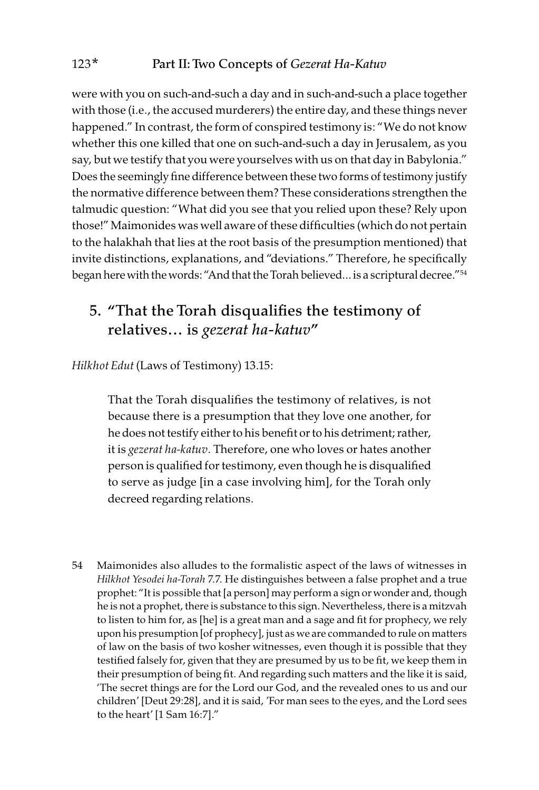were with you on such-and-such a day and in such-and-such a place together with those (i.e., the accused murderers) the entire day, and these things never happened." In contrast, the form of conspired testimony is: "We do not know whether this one killed that one on such-and-such a day in Jerusalem, as you say, but we testify that you were yourselves with us on that day in Babylonia." Does the seemingly fine difference between these two forms of testimony justify the normative difference between them? These considerations strengthen the talmudic question: "What did you see that you relied upon these? Rely upon those!" Maimonides was well aware of these difficulties (which do not pertain to the halakhah that lies at the root basis of the presumption mentioned) that invite distinctions, explanations, and "deviations." Therefore, he specifically began here with the words: "And that the Torah believed… is a scriptural decree."54

### 5. "That the Torah disqualifies the testimony of relatives… is *gezerat ha-katuv*"

Hilkhot Edut (Laws of Testimony) 13.15:

That the Torah disqualifies the testimony of relatives, is not because there is a presumption that they love one another, for he does not testify either to his benefit or to his detriment; rather, it is gezerat ha-katuv. Therefore, one who loves or hates another person is qualified for testimony, even though he is disqualified to serve as judge [in a case involving him], for the Torah only decreed regarding relations.

54 Maimonides also alludes to the formalistic aspect of the laws of witnesses in Hilkhot Yesodei ha-Torah 7.7. He distinguishes between a false prophet and a true prophet: "It is possible that [a person] may perform a sign or wonder and, though he is not a prophet, there is substance to this sign. Nevertheless, there is a mitzvah to listen to him for, as [he] is a great man and a sage and fit for prophecy, we rely upon his presumption [of prophecy], just as we are commanded to rule on matters of law on the basis of two kosher witnesses, even though it is possible that they testified falsely for, given that they are presumed by us to be fit, we keep them in their presumption of being fit. And regarding such matters and the like it is said, 'The secret things are for the Lord our God, and the revealed ones to us and our children' [Deut 29:28], and it is said, 'For man sees to the eyes, and the Lord sees to the heart' [1 Sam 16:7]."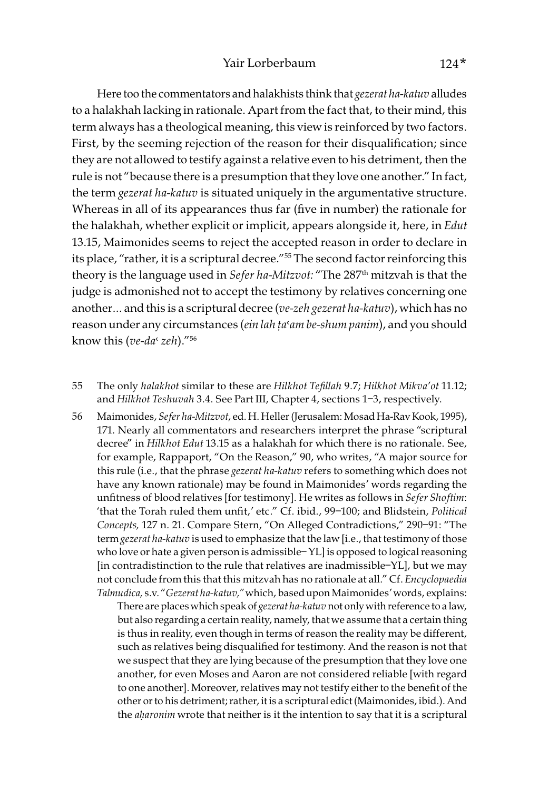Here too the commentators and halakhists think that gezerat ha-katuv alludes to a halakhah lacking in rationale. Apart from the fact that, to their mind, this term always has a theological meaning, this view is reinforced by two factors. First, by the seeming rejection of the reason for their disqualification; since they are not allowed to testify against a relative even to his detriment, then the rule is not "because there is a presumption that they love one another." In fact, the term gezerat ha-katuv is situated uniquely in the argumentative structure. Whereas in all of its appearances thus far (five in number) the rationale for the halakhah, whether explicit or implicit, appears alongside it, here, in Edut 13.15, Maimonides seems to reject the accepted reason in order to declare in its place, "rather, it is a scriptural decree."55 The second factor reinforcing this theory is the language used in Sefer ha-Mitzvot: "The 287<sup>th</sup> mitzvah is that the judge is admonished not to accept the testimony by relatives concerning one another... and this is a scriptural decree (ve-zeh gezerat ha-katuv), which has no reason under any circumstances (ein lah *ṭa*'am be-shum panim), and you should know this (ve-da $\alpha$  zeh)."<sup>56</sup>

- 55 The only halakhot similar to these are Hilkhot Tefillah 9.7; Hilkhot Mikva'ot 11.12; and Hilkhot Teshuvah 3.4. See Part III, Chapter 4, sections 1–3, respectively.
- 56 Maimonides, Sefer ha-Mitzvot, ed. H. Heller (Jerusalem: Mosad Ha-Rav Kook, 1995), 171. Nearly all commentators and researchers interpret the phrase "scriptural decree" in Hilkhot Edut 13.15 as a halakhah for which there is no rationale. See, for example, Rappaport, "On the Reason," 90, who writes, "A major source for this rule (i.e., that the phrase gezerat ha-katuv refers to something which does not have any known rationale) may be found in Maimonides' words regarding the unfitness of blood relatives [for testimony]. He writes as follows in Sefer Shoftim: 'that the Torah ruled them unfit,' etc." Cf. ibid., 99–100; and Blidstein, Political Concepts, 127 n. 21. Compare Stern, "On Alleged Contradictions," 290–91: "The term gezerat ha-katuv is used to emphasize that the law [i.e., that testimony of those who love or hate a given person is admissible– YL] is opposed to logical reasoning [in contradistinction to the rule that relatives are inadmissible–YL], but we may not conclude from this that this mitzvah has no rationale at all." Cf. Encyclopaedia Talmudica, s.v. "Gezerat ha-katuv," which, based upon Maimonides' words, explains:

There are places which speak of gezerat ha-katuv not only with reference to a law, but also regarding a certain reality, namely, that we assume that a certain thing is thus in reality, even though in terms of reason the reality may be different, such as relatives being disqualified for testimony. And the reason is not that we suspect that they are lying because of the presumption that they love one another, for even Moses and Aaron are not considered reliable [with regard to one another]. Moreover, relatives may not testify either to the benefit of the other or to his detriment; rather, it is a scriptural edict (Maimonides, ibid.). And the a*ḥ*aronim wrote that neither is it the intention to say that it is a scriptural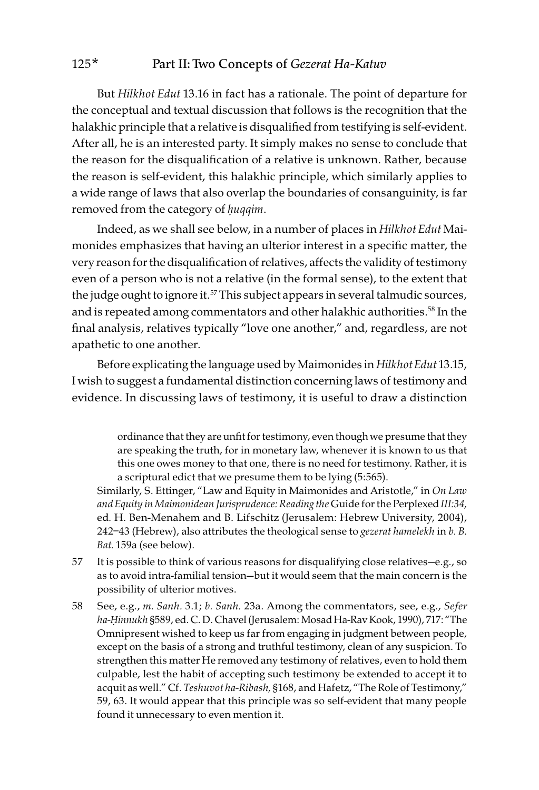But Hilkhot Edut 13.16 in fact has a rationale. The point of departure for the conceptual and textual discussion that follows is the recognition that the halakhic principle that a relative is disqualified from testifying is self-evident. After all, he is an interested party. It simply makes no sense to conclude that the reason for the disqualification of a relative is unknown. Rather, because the reason is self-evident, this halakhic principle, which similarly applies to a wide range of laws that also overlap the boundaries of consanguinity, is far removed from the category of *ḥ*uqqim.

Indeed, as we shall see below, in a number of places in Hilkhot Edut Maimonides emphasizes that having an ulterior interest in a specific matter, the very reason for the disqualification of relatives, affects the validity of testimony even of a person who is not a relative (in the formal sense), to the extent that the judge ought to ignore it.<sup>57</sup> This subject appears in several talmudic sources, and is repeated among commentators and other halakhic authorities.<sup>58</sup> In the final analysis, relatives typically "love one another," and, regardless, are not apathetic to one another.

Before explicating the language used by Maimonides in Hilkhot Edut 13.15, I wish to suggest a fundamental distinction concerning laws of testimony and evidence. In discussing laws of testimony, it is useful to draw a distinction

> ordinance that they are unfit for testimony, even though we presume that they are speaking the truth, for in monetary law, whenever it is known to us that this one owes money to that one, there is no need for testimony. Rather, it is a scriptural edict that we presume them to be lying (5:565).

Similarly, S. Ettinger, "Law and Equity in Maimonides and Aristotle," in On Law and Equity in Maimonidean Jurisprudence: Reading the Guide for the Perplexed III:34, ed. H. Ben-Menahem and B. Lifschitz (Jerusalem: Hebrew University, 2004), 242–43 (Hebrew), also attributes the theological sense to gezerat hamelekh in b. B. Bat. 159a (see below).

- 57 It is possible to think of various reasons for disqualifying close relatives—e.g., so as to avoid intra-familial tension—but it would seem that the main concern is the possibility of ulterior motives.
- 58 See, e.g., m. Sanh. 3.1; b. Sanh. 23a. Among the commentators, see, e.g., Sefer ha-*Ḥ*innukh §589, ed. C. D. Chavel (Jerusalem: Mosad Ha-Rav Kook, 1990), 717: "The Omnipresent wished to keep us far from engaging in judgment between people, except on the basis of a strong and truthful testimony, clean of any suspicion. To strengthen this matter He removed any testimony of relatives, even to hold them culpable, lest the habit of accepting such testimony be extended to accept it to acquit as well." Cf. Teshuvot ha-Ribash, §168, and Hafetz, "The Role of Testimony," 59, 63. It would appear that this principle was so self-evident that many people found it unnecessary to even mention it.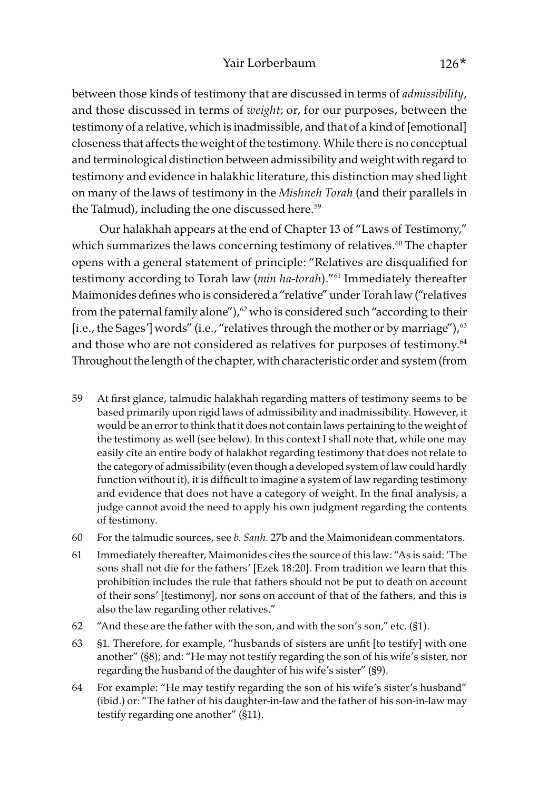#### Yair Lorberbaum 126<sup>\*</sup>

between those kinds of testimony that are discussed in terms of admissibility, and those discussed in terms of weight; or, for our purposes, between the testimony of a relative, which is inadmissible, and that of a kind of [emotional] closeness that affects the weight of the testimony. While there is no conceptual and terminological distinction between admissibility and weight with regard to testimony and evidence in halakhic literature, this distinction may shed light on many of the laws of testimony in the Mishneh Torah (and their parallels in the Talmud), including the one discussed here.<sup>59</sup>

 Our halakhah appears at the end of Chapter 13 of "Laws of Testimony," which summarizes the laws concerning testimony of relatives.<sup>60</sup> The chapter opens with a general statement of principle: "Relatives are disqualified for testimony according to Torah law (min ha-torah)."<sup>61</sup> Immediately thereafter Maimonides defines who is considered a "relative" under Torah law ("relatives from the paternal family alone"),<sup>62</sup> who is considered such "according to their [i.e., the Sages'] words" (i.e., "relatives through the mother or by marriage"),<sup>63</sup> and those who are not considered as relatives for purposes of testimony.<sup>64</sup> Throughout the length of the chapter, with characteristic order and system (from

- 59 At first glance, talmudic halakhah regarding matters of testimony seems to be based primarily upon rigid laws of admissibility and inadmissibility. However, it would be an error to think that it does not contain laws pertaining to the weight of the testimony as well (see below). In this context I shall note that, while one may easily cite an entire body of halakhot regarding testimony that does not relate to the category of admissibility (even though a developed system of law could hardly function without it), it is difficult to imagine a system of law regarding testimony and evidence that does not have a category of weight. In the final analysis, a judge cannot avoid the need to apply his own judgment regarding the contents of testimony.
- 60 For the talmudic sources, see b. Sanh. 27b and the Maimonidean commentators.
- 61 Immediately thereafter, Maimonides cites the source of this law: "As is said: 'The sons shall not die for the fathers' [Ezek 18:20]. From tradition we learn that this prohibition includes the rule that fathers should not be put to death on account of their sons' [testimony], nor sons on account of that of the fathers, and this is also the law regarding other relatives."
- 62 "And these are the father with the son, and with the son's son," etc. (§1).
- 63 §1. Therefore, for example, "husbands of sisters are unfit [to testify] with one another" (§8); and: "He may not testify regarding the son of his wife's sister, nor regarding the husband of the daughter of his wife's sister" (§9).
- 64 For example: "He may testify regarding the son of his wife's sister's husband" (ibid.) or: "The father of his daughter-in-law and the father of his son-in-law may testify regarding one another" (§11).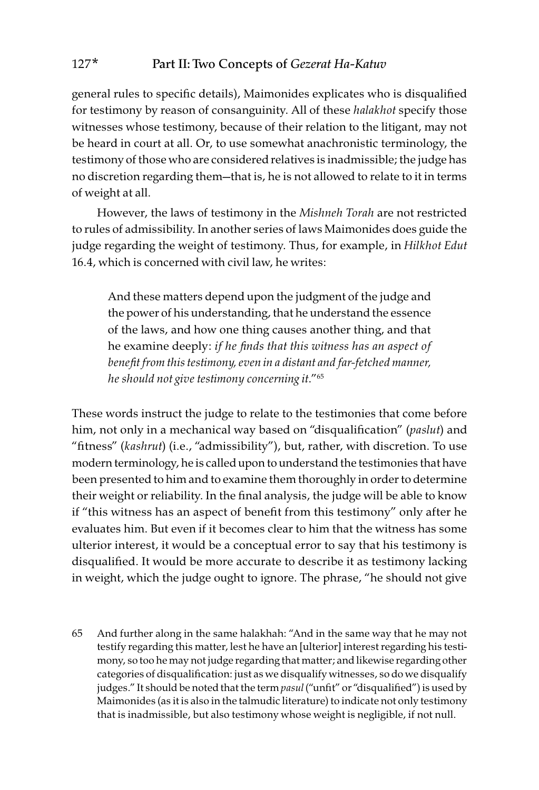general rules to specific details), Maimonides explicates who is disqualified for testimony by reason of consanguinity. All of these halakhot specify those witnesses whose testimony, because of their relation to the litigant, may not be heard in court at all. Or, to use somewhat anachronistic terminology, the testimony of those who are considered relatives is inadmissible; the judge has no discretion regarding them—that is, he is not allowed to relate to it in terms of weight at all.

However, the laws of testimony in the Mishneh Torah are not restricted to rules of admissibility. In another series of laws Maimonides does guide the judge regarding the weight of testimony. Thus, for example, in Hilkhot Edut 16.4, which is concerned with civil law, he writes:

And these matters depend upon the judgment of the judge and the power of his understanding, that he understand the essence of the laws, and how one thing causes another thing, and that he examine deeply: if he finds that this witness has an aspect of benefit from this testimony, even in a distant and far-fetched manner, he should not give testimony concerning it."65

These words instruct the judge to relate to the testimonies that come before him, not only in a mechanical way based on "disqualification" (paslut) and "fitness" (kashrut) (i.e., "admissibility"), but, rather, with discretion. To use modern terminology, he is called upon to understand the testimonies that have been presented to him and to examine them thoroughly in order to determine their weight or reliability. In the final analysis, the judge will be able to know if "this witness has an aspect of benefit from this testimony" only after he evaluates him. But even if it becomes clear to him that the witness has some ulterior interest, it would be a conceptual error to say that his testimony is disqualified. It would be more accurate to describe it as testimony lacking in weight, which the judge ought to ignore. The phrase, "he should not give

65 And further along in the same halakhah: "And in the same way that he may not testify regarding this matter, lest he have an [ulterior] interest regarding his testimony, so too he may not judge regarding that matter; and likewise regarding other categories of disqualification: just as we disqualify witnesses, so do we disqualify judges." It should be noted that the term pasul ("unfit" or "disqualified") is used by Maimonides (as it is also in the talmudic literature) to indicate not only testimony that is inadmissible, but also testimony whose weight is negligible, if not null.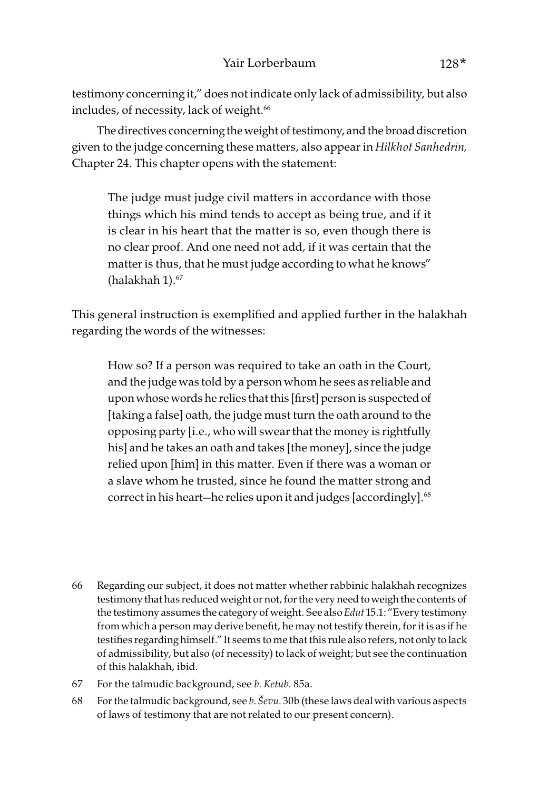testimony concerning it," does not indicate only lack of admissibility, but also includes, of necessity, lack of weight.<sup>66</sup>

The directives concerning the weight of testimony, and the broad discretion given to the judge concerning these matters, also appear in Hilkhot Sanhedrin, Chapter 24. This chapter opens with the statement:

The judge must judge civil matters in accordance with those things which his mind tends to accept as being true, and if it is clear in his heart that the matter is so, even though there is no clear proof. And one need not add, if it was certain that the matter is thus, that he must judge according to what he knows" (halakhah  $1$ ). $67$ 

This general instruction is exemplified and applied further in the halakhah regarding the words of the witnesses:

How so? If a person was required to take an oath in the Court, and the judge was told by a person whom he sees as reliable and upon whose words he relies that this [first] person is suspected of [taking a false] oath, the judge must turn the oath around to the opposing party [i.e., who will swear that the money is rightfully his] and he takes an oath and takes [the money], since the judge relied upon [him] in this matter. Even if there was a woman or a slave whom he trusted, since he found the matter strong and correct in his heart—he relies upon it and judges [accordingly].<sup>68</sup>

- 66 Regarding our subject, it does not matter whether rabbinic halakhah recognizes testimony that has reduced weight or not, for the very need to weigh the contents of the testimony assumes the category of weight. See also Edut 15.1: "Every testimony from which a person may derive benefit, he may not testify therein, for it is as if he testifies regarding himself." It seems to me that this rule also refers, not only to lack of admissibility, but also (of necessity) to lack of weight; but see the continuation of this halakhah, ibid.
- 67 For the talmudic background, see b. Ketub. 85a.
- 68 For the talmudic background, see *b*. *Ševu*. 30b (these laws deal with various aspects of laws of testimony that are not related to our present concern).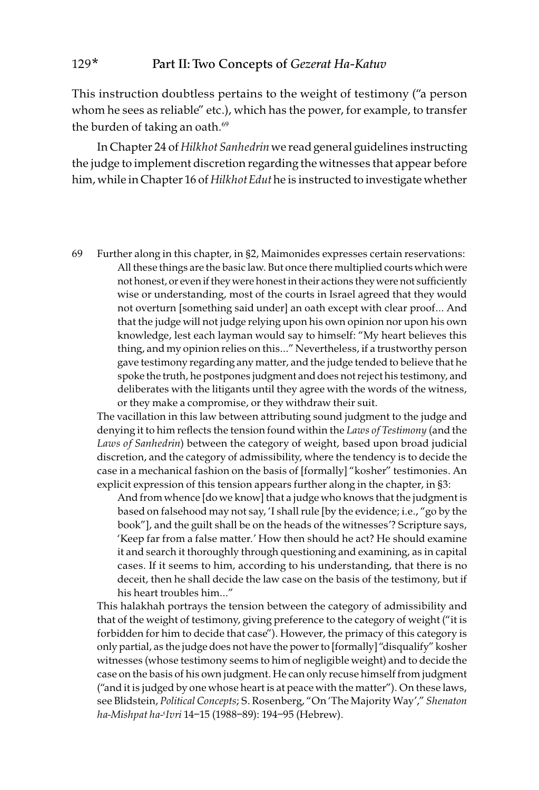This instruction doubtless pertains to the weight of testimony ("a person whom he sees as reliable" etc.), which has the power, for example, to transfer the burden of taking an oath.<sup>69</sup>

In Chapter 24 of Hilkhot Sanhedrin we read general guidelines instructing the judge to implement discretion regarding the witnesses that appear before him, while in Chapter 16 of Hilkhot Edut he is instructed to investigate whether

69 Further along in this chapter, in §2, Maimonides expresses certain reservations: All these things are the basic law. But once there multiplied courts which were not honest, or even if they were honest in their actions they were not sufficiently wise or understanding, most of the courts in Israel agreed that they would not overturn [something said under] an oath except with clear proof… And that the judge will not judge relying upon his own opinion nor upon his own knowledge, lest each layman would say to himself: "My heart believes this thing, and my opinion relies on this…" Nevertheless, if a trustworthy person gave testimony regarding any matter, and the judge tended to believe that he spoke the truth, he postpones judgment and does not reject his testimony, and deliberates with the litigants until they agree with the words of the witness, or they make a compromise, or they withdraw their suit.

The vacillation in this law between attributing sound judgment to the judge and denying it to him reflects the tension found within the Laws of Testimony (and the Laws of Sanhedrin) between the category of weight, based upon broad judicial discretion, and the category of admissibility, where the tendency is to decide the case in a mechanical fashion on the basis of [formally] "kosher" testimonies. An explicit expression of this tension appears further along in the chapter, in §3:

And from whence [do we know] that a judge who knows that the judgment is based on falsehood may not say, 'I shall rule [by the evidence; i.e., "go by the book"], and the guilt shall be on the heads of the witnesses'? Scripture says, 'Keep far from a false matter.' How then should he act? He should examine it and search it thoroughly through questioning and examining, as in capital cases. If it seems to him, according to his understanding, that there is no deceit, then he shall decide the law case on the basis of the testimony, but if his heart troubles him…"

This halakhah portrays the tension between the category of admissibility and that of the weight of testimony, giving preference to the category of weight ("it is forbidden for him to decide that case"). However, the primacy of this category is only partial, as the judge does not have the power to [formally] "disqualify" kosher witnesses (whose testimony seems to him of negligible weight) and to decide the case on the basis of his own judgment. He can only recuse himself from judgment ("and it is judged by one whose heart is at peace with the matter"). On these laws, see Blidstein, Political Concepts; S. Rosenberg, "On 'The Majority Way'," Shenaton ha-Mishpat ha-<Ivri 14-15 (1988-89): 194-95 (Hebrew).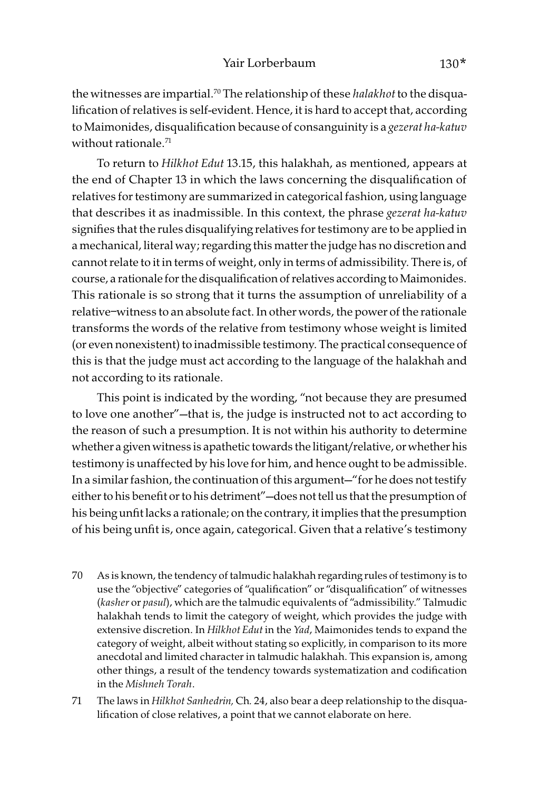the witnesses are impartial.<sup>70</sup> The relationship of these halakhot to the disqualification of relatives is self-evident. Hence, it is hard to accept that, according to Maimonides, disqualification because of consanguinity is a gezerat ha-katuv without rationale.<sup>71</sup>

To return to Hilkhot Edut 13.15, this halakhah, as mentioned, appears at the end of Chapter 13 in which the laws concerning the disqualification of relatives for testimony are summarized in categorical fashion, using language that describes it as inadmissible. In this context, the phrase gezerat ha-katuv signifies that the rules disqualifying relatives for testimony are to be applied in a mechanical, literal way; regarding this matter the judge has no discretion and cannot relate to it in terms of weight, only in terms of admissibility. There is, of course, a rationale for the disqualification of relatives according to Maimonides. This rationale is so strong that it turns the assumption of unreliability of a relative–witness to an absolute fact. In other words, the power of the rationale transforms the words of the relative from testimony whose weight is limited (or even nonexistent) to inadmissible testimony. The practical consequence of this is that the judge must act according to the language of the halakhah and not according to its rationale.

This point is indicated by the wording, "not because they are presumed to love one another"—that is, the judge is instructed not to act according to the reason of such a presumption. It is not within his authority to determine whether a given witness is apathetic towards the litigant/relative, or whether his testimony is unaffected by his love for him, and hence ought to be admissible. In a similar fashion, the continuation of this argument—"for he does not testify either to his benefit or to his detriment"—does not tell us that the presumption of his being unfit lacks a rationale; on the contrary, it implies that the presumption of his being unfit is, once again, categorical. Given that a relative's testimony

- 70 As is known, the tendency of talmudic halakhah regarding rules of testimony is to use the "objective" categories of "qualification" or "disqualification" of witnesses (kasher or pasul), which are the talmudic equivalents of "admissibility." Talmudic halakhah tends to limit the category of weight, which provides the judge with extensive discretion. In Hilkhot Edut in the Yad, Maimonides tends to expand the category of weight, albeit without stating so explicitly, in comparison to its more anecdotal and limited character in talmudic halakhah. This expansion is, among other things, a result of the tendency towards systematization and codification in the Mishneh Torah.
- 71 The laws in Hilkhot Sanhedrin, Ch. 24, also bear a deep relationship to the disqualification of close relatives, a point that we cannot elaborate on here.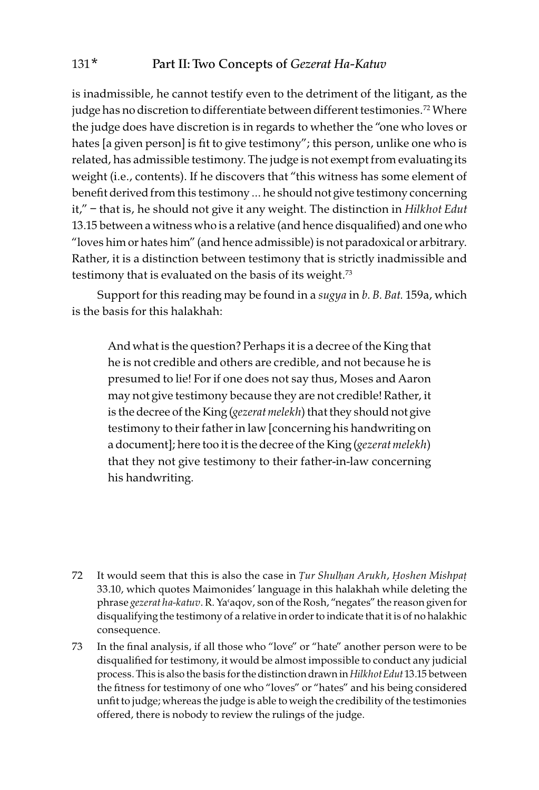is inadmissible, he cannot testify even to the detriment of the litigant, as the judge has no discretion to differentiate between different testimonies.<sup>72</sup> Where the judge does have discretion is in regards to whether the "one who loves or hates [a given person] is fit to give testimony"; this person, unlike one who is related, has admissible testimony. The judge is not exempt from evaluating its weight (i.e., contents). If he discovers that "this witness has some element of benefit derived from this testimony … he should not give testimony concerning it," – that is, he should not give it any weight. The distinction in Hilkhot Edut 13.15 between a witness who is a relative (and hence disqualified) and one who "loves him or hates him" (and hence admissible) is not paradoxical or arbitrary. Rather, it is a distinction between testimony that is strictly inadmissible and testimony that is evaluated on the basis of its weight.<sup>73</sup>

Support for this reading may be found in a *sugya* in b. B. Bat. 159a, which is the basis for this halakhah:

And what is the question? Perhaps it is a decree of the King that he is not credible and others are credible, and not because he is presumed to lie! For if one does not say thus, Moses and Aaron may not give testimony because they are not credible! Rather, it is the decree of the King (gezerat melekh) that they should not give testimony to their father in law [concerning his handwriting on a document]; here too it is the decree of the King (gezerat melekh) that they not give testimony to their father-in-law concerning his handwriting.

- 72 It would seem that this is also the case in *Ṭ*ur Shul*ḥ*an Arukh, *Ḥ*oshen Mishpa*ṭ* 33.10, which quotes Maimonides' language in this halakhah while deleting the phrase gezerat ha-katuv. R. Ya'aqov, son of the Rosh, "negates" the reason given for disqualifying the testimony of a relative in order to indicate that it is of no halakhic consequence.
- 73 In the final analysis, if all those who "love" or "hate" another person were to be disqualified for testimony, it would be almost impossible to conduct any judicial process. This is also the basis for the distinction drawn in Hilkhot Edut 13.15 between the fitness for testimony of one who "loves" or "hates" and his being considered unfit to judge; whereas the judge is able to weigh the credibility of the testimonies offered, there is nobody to review the rulings of the judge.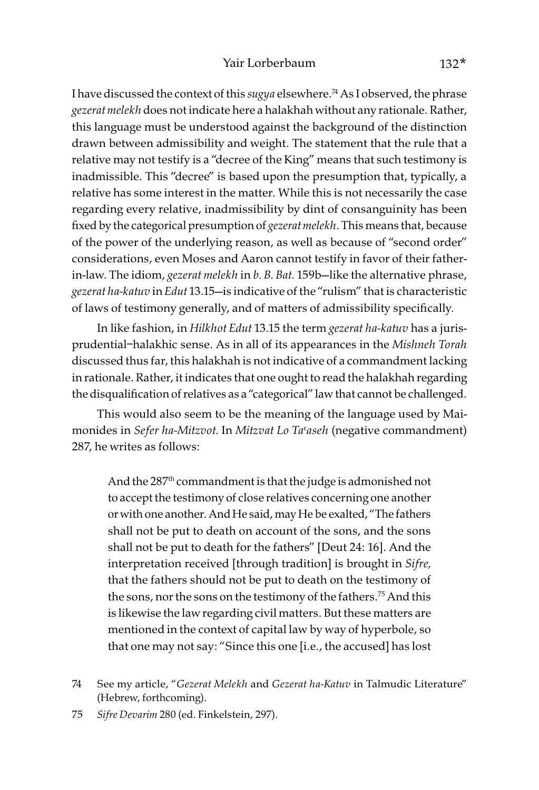I have discussed the context of this sugya elsewhere.<sup>74</sup> As I observed, the phrase gezerat melekh does not indicate here a halakhah without any rationale. Rather, this language must be understood against the background of the distinction drawn between admissibility and weight. The statement that the rule that a relative may not testify is a "decree of the King" means that such testimony is inadmissible. This "decree" is based upon the presumption that, typically, a relative has some interest in the matter. While this is not necessarily the case regarding every relative, inadmissibility by dint of consanguinity has been fixed by the categorical presumption of gezerat melekh. This means that, because of the power of the underlying reason, as well as because of "second order" considerations, even Moses and Aaron cannot testify in favor of their fatherin-law. The idiom, gezerat melekh in b. B. Bat. 159b-like the alternative phrase, gezerat ha-katuv in Edut 13.15—is indicative of the "rulism" that is characteristic of laws of testimony generally, and of matters of admissibility specifically.

In like fashion, in Hilkhot Edut 13.15 the term gezerat ha-katuv has a jurisprudential–halakhic sense. As in all of its appearances in the Mishneh Torah discussed thus far, this halakhah is not indicative of a commandment lacking in rationale. Rather, it indicates that one ought to read the halakhah regarding the disqualification of relatives as a "categorical" law that cannot be challenged.

This would also seem to be the meaning of the language used by Maimonides in Sefer ha-Mitzvot. In Mitzvat Lo Ta'aseh (negative commandment) 287, he writes as follows:

And the 287<sup>th</sup> commandment is that the judge is admonished not to accept the testimony of close relatives concerning one another or with one another. And He said, may He be exalted, "The fathers shall not be put to death on account of the sons, and the sons shall not be put to death for the fathers" [Deut 24: 16]. And the interpretation received [through tradition] is brought in Sifre, that the fathers should not be put to death on the testimony of the sons, nor the sons on the testimony of the fathers.<sup>75</sup> And this is likewise the law regarding civil matters. But these matters are mentioned in the context of capital law by way of hyperbole, so that one may not say: "Since this one [i.e., the accused] has lost

<sup>74</sup> See my article, "Gezerat Melekh and Gezerat ha-Katuv in Talmudic Literature" (Hebrew, forthcoming).

<sup>75</sup> Sifre Devarim 280 (ed. Finkelstein, 297).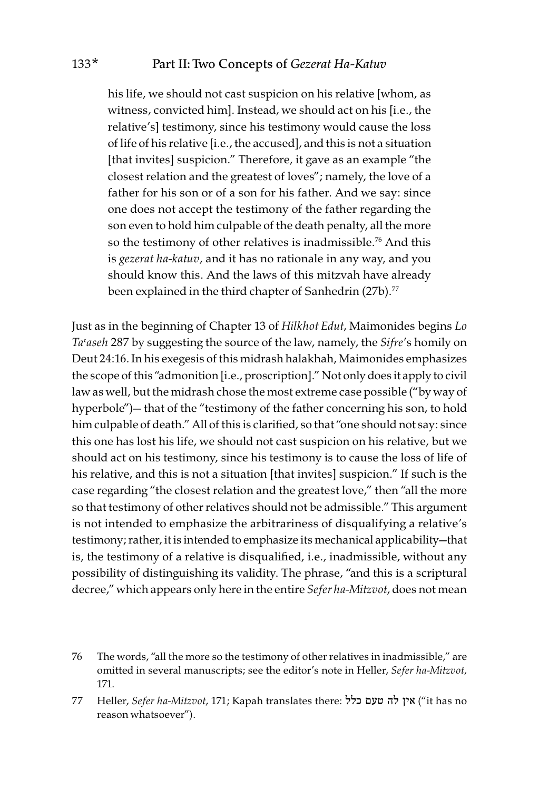his life, we should not cast suspicion on his relative [whom, as witness, convicted him]. Instead, we should act on his [i.e., the relative's] testimony, since his testimony would cause the loss of life of his relative [i.e., the accused], and this is not a situation [that invites] suspicion." Therefore, it gave as an example "the closest relation and the greatest of loves"; namely, the love of a father for his son or of a son for his father. And we say: since one does not accept the testimony of the father regarding the son even to hold him culpable of the death penalty, all the more so the testimony of other relatives is inadmissible.<sup>76</sup> And this is gezerat ha-katuv, and it has no rationale in any way, and you should know this. And the laws of this mitzvah have already been explained in the third chapter of Sanhedrin (27b).<sup>77</sup>

Just as in the beginning of Chapter 13 of Hilkhot Edut, Maimonides begins Lo Ta'aseh 287 by suggesting the source of the law, namely, the Sifre's homily on Deut 24:16. In his exegesis of this midrash halakhah, Maimonides emphasizes the scope of this "admonition [i.e., proscription]." Not only does it apply to civil law as well, but the midrash chose the most extreme case possible ("by way of hyperbole")— that of the "testimony of the father concerning his son, to hold him culpable of death." All of this is clarified, so that "one should not say: since this one has lost his life, we should not cast suspicion on his relative, but we should act on his testimony, since his testimony is to cause the loss of life of his relative, and this is not a situation [that invites] suspicion." If such is the case regarding "the closest relation and the greatest love," then "all the more so that testimony of other relatives should not be admissible." This argument is not intended to emphasize the arbitrariness of disqualifying a relative's testimony; rather, it is intended to emphasize its mechanical applicability—that is, the testimony of a relative is disqualified, i.e., inadmissible, without any possibility of distinguishing its validity. The phrase, "and this is a scriptural decree," which appears only here in the entire Sefer ha-Mitzvot, does not mean

76 The words, "all the more so the testimony of other relatives in inadmissible," are omitted in several manuscripts; see the editor's note in Heller, Sefer ha-Mitzvot, 171.

77 Heller, Sefer ha-Mitzvot, 171; Kapah translates there: כלל טעם לה אין") it has no reason whatsoever").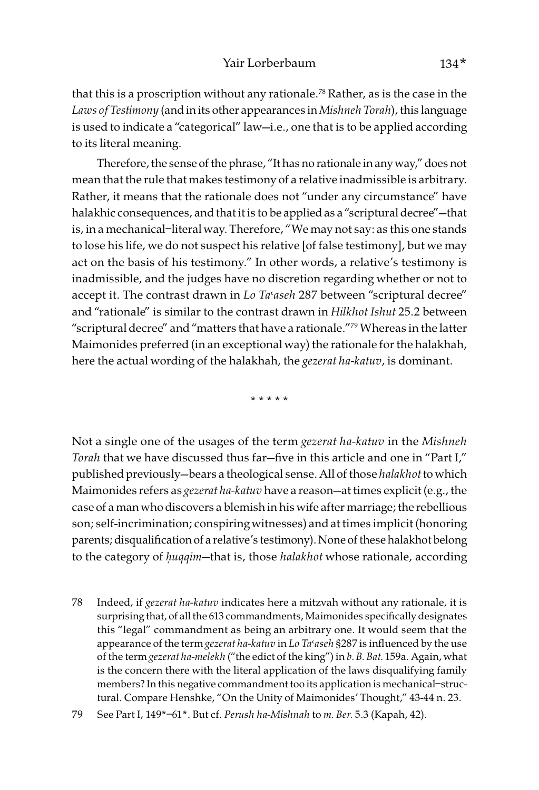that this is a proscription without any rationale.<sup>78</sup> Rather, as is the case in the Laws of Testimony (and in its other appearances in Mishneh Torah), this language is used to indicate a "categorical" law—i.e., one that is to be applied according to its literal meaning.

Therefore, the sense of the phrase, "It has no rationale in any way," does not mean that the rule that makes testimony of a relative inadmissible is arbitrary. Rather, it means that the rationale does not "under any circumstance" have halakhic consequences, and that it is to be applied as a "scriptural decree"—that is, in a mechanical–literal way. Therefore, "We may not say: as this one stands to lose his life, we do not suspect his relative [of false testimony], but we may act on the basis of his testimony." In other words, a relative's testimony is inadmissible, and the judges have no discretion regarding whether or not to accept it. The contrast drawn in  $Lo$  Ta'aseh 287 between "scriptural decree" and "rationale" is similar to the contrast drawn in Hilkhot Ishut 25.2 between "scriptural decree" and "matters that have a rationale."79 Whereas in the latter Maimonides preferred (in an exceptional way) the rationale for the halakhah, here the actual wording of the halakhah, the *gezerat ha-katuv*, is dominant.

\* \* \* \* \*

Not a single one of the usages of the term gezerat ha-katuv in the Mishneh Torah that we have discussed thus far—five in this article and one in "Part I," published previously-bears a theological sense. All of those halakhot to which Maimonides refers as *gezerat ha-katuv* have a reason—at times explicit (e.g., the case of a man who discovers a blemish in his wife after marriage; the rebellious son; self-incrimination; conspiring witnesses) and at times implicit (honoring parents; disqualification of a relative's testimony). None of these halakhot belong to the category of *ḥ*uqqim—that is, those halakhot whose rationale, according

78 Indeed, if gezerat ha-katuv indicates here a mitzvah without any rationale, it is surprising that, of all the 613 commandments, Maimonides specifically designates this "legal" commandment as being an arbitrary one. It would seem that the appearance of the term *gezerat ha-katuv* in Lo Ta'aseh §287 is influenced by the use of the term gezerat ha-melekh ("the edict of the king") in b. B. Bat. 159a. Again, what is the concern there with the literal application of the laws disqualifying family members? In this negative commandment too its application is mechanical–structural. Compare Henshke, "On the Unity of Maimonides' Thought," 43-44 n. 23.

<sup>79</sup> See Part I, 149\*–61\*. But cf. Perush ha-Mishnah to m. Ber. 5.3 (Kapah, 42).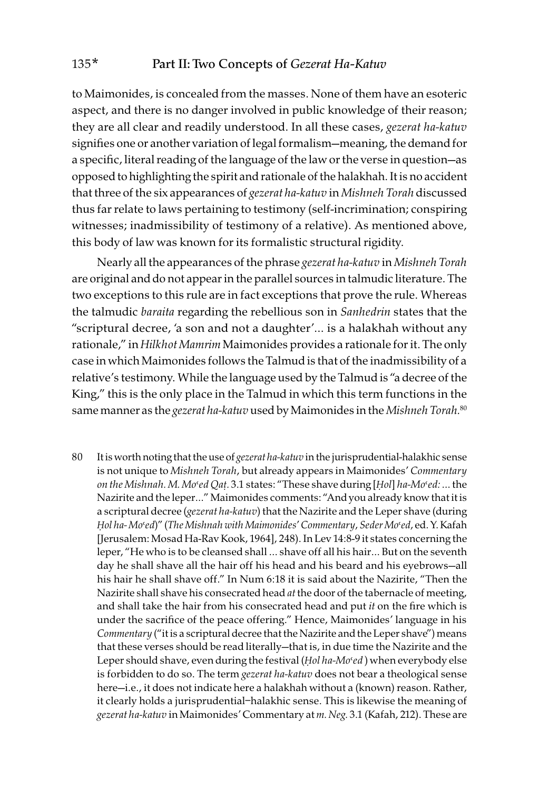to Maimonides, is concealed from the masses. None of them have an esoteric aspect, and there is no danger involved in public knowledge of their reason; they are all clear and readily understood. In all these cases, gezerat ha-katuv signifies one or another variation of legal formalism—meaning, the demand for a specific, literal reading of the language of the law or the verse in question—as opposed to highlighting the spirit and rationale of the halakhah. It is no accident that three of the six appearances of gezerat ha-katuv in Mishneh Torah discussed thus far relate to laws pertaining to testimony (self-incrimination; conspiring witnesses; inadmissibility of testimony of a relative). As mentioned above, this body of law was known for its formalistic structural rigidity.

Nearly all the appearances of the phrase gezerat ha-katuv in Mishneh Torah are original and do not appear in the parallel sources in talmudic literature. The two exceptions to this rule are in fact exceptions that prove the rule. Whereas the talmudic baraita regarding the rebellious son in Sanhedrin states that the "scriptural decree, 'a son and not a daughter'… is a halakhah without any rationale," in Hilkhot Mamrim Maimonides provides a rationale for it. The only case in which Maimonides follows the Talmud is that of the inadmissibility of a relative's testimony. While the language used by the Talmud is "a decree of the King," this is the only place in the Talmud in which this term functions in the same manner as the gezerat ha-katuv used by Maimonides in the Mishneh Torah.<sup>80</sup>

80 It is worth noting that the use of gezerat ha-katuv in the jurisprudential-halakhic sense is not unique to Mishneh Torah, but already appears in Maimonides' Commentary on the Mishnah. M. Mo'ed Qat. 3.1 states: "These shave during [Hol] ha-Mo'ed: ... the Nazirite and the leper…" Maimonides comments: "And you already know that it is a scriptural decree (gezerat ha-katuv) that the Nazirite and the Leper shave (during Hol ha-Mo'ed)" (The Mishnah with Maimonides' Commentary, Seder Mo'ed, ed. Y. Kafah [Jerusalem: Mosad Ha-Rav Kook, 1964], 248). In Lev 14:8-9 it states concerning the leper, "He who is to be cleansed shall … shave off all his hair… But on the seventh day he shall shave all the hair off his head and his beard and his eyebrows—all his hair he shall shave off." In Num 6:18 it is said about the Nazirite, "Then the Nazirite shall shave his consecrated head at the door of the tabernacle of meeting, and shall take the hair from his consecrated head and put  $it$  on the fire which is under the sacrifice of the peace offering." Hence, Maimonides' language in his Commentary ("it is a scriptural decree that the Nazirite and the Leper shave") means that these verses should be read literally—that is, in due time the Nazirite and the Leper should shave, even during the festival (*Hol ha-Mo'ed*) when everybody else is forbidden to do so. The term gezerat ha-katuv does not bear a theological sense here—i.e., it does not indicate here a halakhah without a (known) reason. Rather, it clearly holds a jurisprudential–halakhic sense. This is likewise the meaning of gezerat ha-katuv in Maimonides' Commentary at m. Neg. 3.1 (Kafah, 212). These are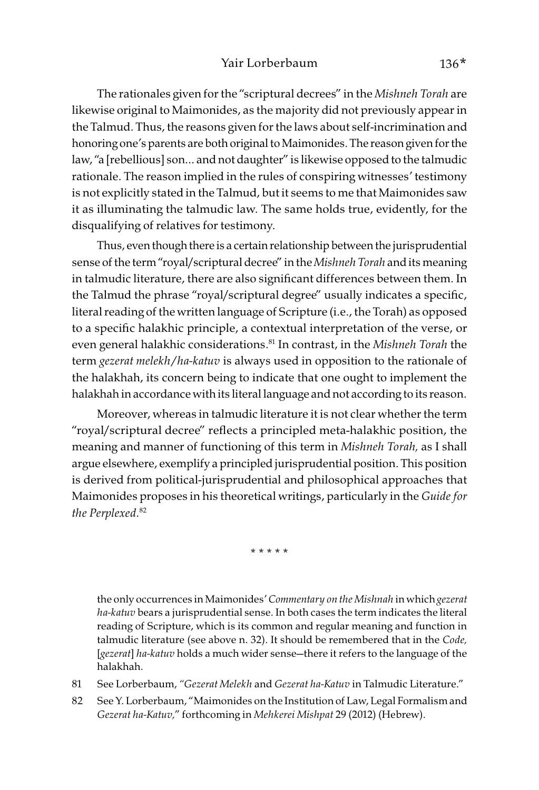The rationales given for the "scriptural decrees" in the Mishneh Torah are likewise original to Maimonides, as the majority did not previously appear in the Talmud. Thus, the reasons given for the laws about self-incrimination and honoring one's parents are both original to Maimonides. The reason given for the law, "a [rebellious] son… and not daughter" is likewise opposed to the talmudic rationale. The reason implied in the rules of conspiring witnesses' testimony is not explicitly stated in the Talmud, but it seems to me that Maimonides saw it as illuminating the talmudic law. The same holds true, evidently, for the disqualifying of relatives for testimony.

Thus, even though there is a certain relationship between the jurisprudential sense of the term "royal/scriptural decree" in the Mishneh Torah and its meaning in talmudic literature, there are also significant differences between them. In the Talmud the phrase "royal/scriptural degree" usually indicates a specific, literal reading of the written language of Scripture (i.e., the Torah) as opposed to a specific halakhic principle, a contextual interpretation of the verse, or even general halakhic considerations.<sup>81</sup> In contrast, in the Mishneh Torah the term gezerat melekh/ha-katuv is always used in opposition to the rationale of the halakhah, its concern being to indicate that one ought to implement the halakhah in accordance with its literal language and not according to its reason.

Moreover, whereas in talmudic literature it is not clear whether the term "royal/scriptural decree" reflects a principled meta-halakhic position, the meaning and manner of functioning of this term in Mishneh Torah, as I shall argue elsewhere, exemplify a principled jurisprudential position. This position is derived from political-jurisprudential and philosophical approaches that Maimonides proposes in his theoretical writings, particularly in the Guide for the Perplexed. 82

\* \* \* \* \*

the only occurrences in Maimonides' Commentary on the Mishnah in which gezerat ha-katuv bears a jurisprudential sense. In both cases the term indicates the literal reading of Scripture, which is its common and regular meaning and function in talmudic literature (see above n. 32). It should be remembered that in the Code, [gezerat] ha-katuv holds a much wider sense-there it refers to the language of the halakhah.

81 See Lorberbaum, "Gezerat Melekh and Gezerat ha-Katuv in Talmudic Literature."

82 See Y. Lorberbaum, "Maimonides on the Institution of Law, Legal Formalism and Gezerat ha-Katuv," forthcoming in Mehkerei Mishpat 29 (2012) (Hebrew).